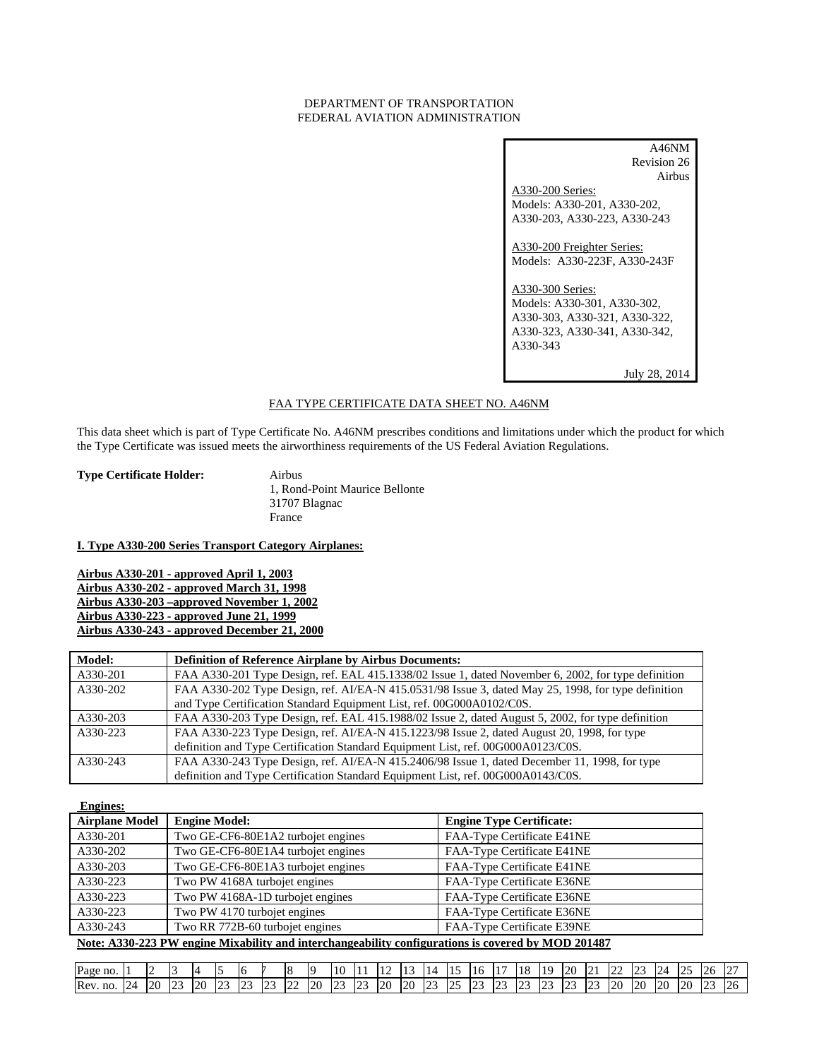# DEPARTMENT OF TRANSPORTATION FEDERAL AVIATION ADMINISTRATION

| A46NM                         |
|-------------------------------|
| Revision 26                   |
| Airbus                        |
| A330-200 Series:              |
| Models: A330-201, A330-202,   |
| A330-203, A330-223, A330-243  |
|                               |
| A330-200 Freighter Series:    |
| Models: A330-223F, A330-243F  |
|                               |
| A330-300 Series:              |
| Models: A330-301, A330-302,   |
| A330-303, A330-321, A330-322, |
| A330-323, A330-341, A330-342, |
| A330-343                      |
|                               |
| July 28, 2014                 |

# FAA TYPE CERTIFICATE DATA SHEET NO. A46NM

This data sheet which is part of Type Certificate No. A46NM prescribes conditions and limitations under which the product for which the Type Certificate was issued meets the airworthiness requirements of the US Federal Aviation Regulations.

**Type Certificate Holder:** Airbus

1, Rond-Point Maurice Bellonte 31707 Blagnac France

# **I. Type A330-200 Series Transport Category Airplanes:**

**Airbus A330-201 - approved April 1, 2003 Airbus A330-202 - approved March 31, 1998 Airbus A330-203 –approved November 1, 2002 Airbus A330-223 - approved June 21, 1999 Airbus A330-243 - approved December 21, 2000**

| <b>Model:</b> | <b>Definition of Reference Airplane by Airbus Documents:</b>                                        |
|---------------|-----------------------------------------------------------------------------------------------------|
| A330-201      | FAA A330-201 Type Design, ref. EAL 415.1338/02 Issue 1, dated November 6, 2002, for type definition |
| A330-202      | FAA A330-202 Type Design, ref. AI/EA-N 415.0531/98 Issue 3, dated May 25, 1998, for type definition |
|               | and Type Certification Standard Equipment List, ref. 00G000A0102/C0S.                               |
| A330-203      | FAA A330-203 Type Design, ref. EAL 415.1988/02 Issue 2, dated August 5, 2002, for type definition   |
| A330-223      | FAA A330-223 Type Design, ref. AI/EA-N 415.1223/98 Issue 2, dated August 20, 1998, for type         |
|               | definition and Type Certification Standard Equipment List, ref. 00G000A0123/C0S.                    |
| A330-243      | FAA A330-243 Type Design, ref. AI/EA-N 415.2406/98 Issue 1, dated December 11, 1998, for type       |
|               | definition and Type Certification Standard Equipment List, ref. 00G000A0143/C0S.                    |

| <b>Engines:</b>                                                                                    |                                    |                                 |  |  |
|----------------------------------------------------------------------------------------------------|------------------------------------|---------------------------------|--|--|
| <b>Airplane Model</b>                                                                              | <b>Engine Model:</b>               | <b>Engine Type Certificate:</b> |  |  |
| A330-201                                                                                           | Two GE-CF6-80E1A2 turbojet engines | FAA-Type Certificate E41NE      |  |  |
| A330-202                                                                                           | Two GE-CF6-80E1A4 turbojet engines | FAA-Type Certificate E41NE      |  |  |
| A330-203                                                                                           | Two GE-CF6-80E1A3 turbojet engines | FAA-Type Certificate E41NE      |  |  |
| A330-223                                                                                           | Two PW 4168A turbojet engines      | FAA-Type Certificate E36NE      |  |  |
| A330-223                                                                                           | Two PW 4168A-1D turbojet engines   | FAA-Type Certificate E36NE      |  |  |
| A330-223                                                                                           | Two PW 4170 turbojet engines       | FAA-Type Certificate E36NE      |  |  |
| A330-243                                                                                           | Two RR 772B-60 turbojet engines    | FAA-Type Certificate E39NE      |  |  |
| Note: A330-223 PW engine Mixability and interchangeability configurations is covered by MOD 201487 |                                    |                                 |  |  |

| חו<br>Page no. |        |    |                        |           |                                   | . .          |                    | ıо<br>0          |           | 10          | . .         |                          |    |              |             | 16                 | 1 <sup>2</sup><br>Τ. | 18               | 1 <sup>0</sup>     | 20          | $\sim$<br>. . | $\sim$<br>$\overline{\phantom{a}}$ | $\sim$ $\sim$ | م در | <br>--    | $\sim$<br>.26 | $\sim$      |
|----------------|--------|----|------------------------|-----------|-----------------------------------|--------------|--------------------|------------------|-----------|-------------|-------------|--------------------------|----|--------------|-------------|--------------------|----------------------|------------------|--------------------|-------------|---------------|------------------------------------|---------------|------|-----------|---------------|-------------|
| Rev.<br>no.    | $\sim$ | 20 | $\Gamma$<br>. <u>.</u> | <b>20</b> | $\sim$<br><b><i><u>LL</u></i></b> | $\sim$<br>-- | $\sim$<br><u>_</u> | $\sim$<br>$\sim$ | <b>20</b> | $\sim$<br>∼ | $\sim$<br>. | $\overline{2}$<br>$\sim$ | 20 | $\sim$<br>سد | $\sim$<br>ت | $\sim$ $\sim$<br>. | $\sim$<br>$\sim$     | $\bigcap$<br>سمد | $\sim$<br><u>.</u> | $\sim$<br>ت | $\sim$<br>.   | 20                                 | 20<br>w       | 2C   | <b>20</b> | $\sim$        | ~<br>$\sim$ |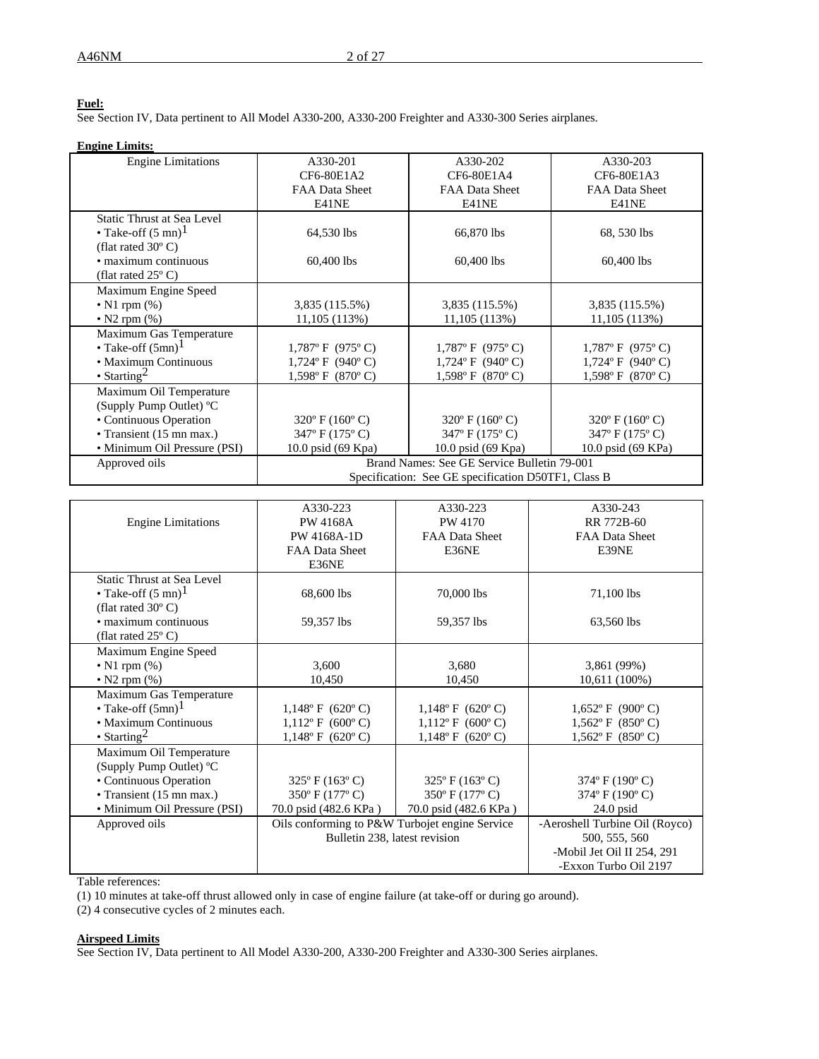# **Fuel:**

See Section IV, Data pertinent to All Model A330-200, A330-200 Freighter and A330-300 Series airplanes.

#### **Engine Limits:**

| <b>Engine Limitations</b>     | A330-201                                            | A330-202                           | A330-203                           |  |  |
|-------------------------------|-----------------------------------------------------|------------------------------------|------------------------------------|--|--|
|                               | CF6-80E1A2                                          | CF6-80E1A4                         | CF6-80E1A3                         |  |  |
|                               | FAA Data Sheet                                      | FAA Data Sheet                     | FAA Data Sheet                     |  |  |
|                               | E41NE                                               | E41NE                              | E41NE                              |  |  |
| Static Thrust at Sea Level    |                                                     |                                    |                                    |  |  |
| • Take-off $(5 \text{ mn})^1$ | 64,530 lbs                                          | 66,870 lbs                         | 68, 530 lbs                        |  |  |
| (flat rated $30^{\circ}$ C)   |                                                     |                                    |                                    |  |  |
| • maximum continuous          | $60,400$ lbs                                        | 60,400 lbs                         | 60,400 lbs                         |  |  |
| (flat rated $25^{\circ}$ C)   |                                                     |                                    |                                    |  |  |
| Maximum Engine Speed          |                                                     |                                    |                                    |  |  |
| $\bullet$ N1 rpm $(\%)$       | 3,835 (115.5%)                                      | 3,835 (115.5%)                     | 3,835 (115.5%)                     |  |  |
| • N2 rpm $(\%)$               | 11,105(113%)                                        | 11,105(113%)                       | 11,105(113%)                       |  |  |
| Maximum Gas Temperature       |                                                     |                                    |                                    |  |  |
| • Take-off $(5mn)^1$          | $1,787$ °F (975°C)                                  | $1,787$ °F (975°C)                 | $1,787$ °F (975°C)                 |  |  |
| • Maximum Continuous          | $1,724$ °F (940°C)                                  | $1,724$ °F (940°C)                 | $1,724$ °F (940°C)                 |  |  |
| • Starting <sup>2</sup>       | $1,598$ °F (870°C)                                  | $1,598$ °F (870°C)                 | $1,598$ °F (870°C)                 |  |  |
| Maximum Oil Temperature       |                                                     |                                    |                                    |  |  |
| (Supply Pump Outlet) °C       |                                                     |                                    |                                    |  |  |
| • Continuous Operation        | $320^{\circ}$ F (160 $^{\circ}$ C)                  | $320^{\circ}$ F (160 $^{\circ}$ C) | $320^{\circ}$ F (160 $^{\circ}$ C) |  |  |
| • Transient (15 mn max.)      | 347° F (175° C)                                     | 347° F (175° C)                    | 347° F (175° C)                    |  |  |
| • Minimum Oil Pressure (PSI)  | 10.0 psid (69 Kpa)                                  | 10.0 psid (69 Kpa)                 | 10.0 psid (69 KPa)                 |  |  |
| Approved oils                 | Brand Names: See GE Service Bulletin 79-001         |                                    |                                    |  |  |
|                               | Specification: See GE specification D50TF1, Class B |                                    |                                    |  |  |

|                                   | A330-223                                       | A330-223                           | A330-243                           |
|-----------------------------------|------------------------------------------------|------------------------------------|------------------------------------|
| <b>Engine Limitations</b>         | <b>PW 4168A</b>                                | PW 4170                            | RR 772B-60                         |
|                                   | PW 4168A-1D                                    | FAA Data Sheet                     | <b>FAA Data Sheet</b>              |
|                                   | FAA Data Sheet                                 | E36NE                              | E39NE                              |
|                                   | E36NE                                          |                                    |                                    |
| <b>Static Thrust at Sea Level</b> |                                                |                                    |                                    |
| • Take-off $(5 \text{ mn})^1$     | 68,600 lbs                                     | 70,000 lbs                         | 71,100 lbs                         |
| (flat rated $30^{\circ}$ C)       |                                                |                                    |                                    |
| • maximum continuous              | 59,357 lbs                                     | 59,357 lbs                         | 63,560 lbs                         |
| (flat rated $25^{\circ}$ C)       |                                                |                                    |                                    |
| Maximum Engine Speed              |                                                |                                    |                                    |
| $\bullet$ N1 rpm $(\%)$           | 3,600                                          | 3,680                              | 3,861 (99%)                        |
| • N2 rpm $(\%)$                   | 10,450                                         | 10,450                             | 10,611 (100%)                      |
| Maximum Gas Temperature           |                                                |                                    |                                    |
| • Take-off $(5mn)^1$              | $1,148^{\circ}$ F (620°C)                      | $1,148$ °F (620°C)                 | $1,652$ °F (900°C)                 |
| • Maximum Continuous              | $1,112^{\circ}$ F (600°C)                      | $1,112$ °F (600°C)                 | $1,562$ °F (850°C)                 |
| • Starting <sup>2</sup>           | $1,148^{\circ}$ F (620°C)                      | $1,148^{\circ}$ F (620°C)          | $1,562$ °F (850°C)                 |
| Maximum Oil Temperature           |                                                |                                    |                                    |
| (Supply Pump Outlet) °C           |                                                |                                    |                                    |
| • Continuous Operation            | $325^{\circ}$ F (163°C)                        | $325^{\circ}$ F (163 $^{\circ}$ C) | $374^{\circ}$ F (190 $^{\circ}$ C) |
| • Transient (15 mn max.)          | 350° F (177° C)                                | 350° F (177° C)                    | 374° F (190° C)                    |
| • Minimum Oil Pressure (PSI)      | 70.0 psid (482.6 KPa)                          | 70.0 psid (482.6 KPa)              | $24.0$ psid                        |
| Approved oils                     | Oils conforming to P&W Turbojet engine Service |                                    | -Aeroshell Turbine Oil (Royco)     |
|                                   | Bulletin 238, latest revision                  |                                    | 500, 555, 560                      |
|                                   |                                                |                                    | -Mobil Jet Oil II 254, 291         |
|                                   |                                                |                                    | -Exxon Turbo Oil 2197              |

Table references:

(1) 10 minutes at take-off thrust allowed only in case of engine failure (at take-off or during go around).

(2) 4 consecutive cycles of 2 minutes each.

#### **Airspeed Limits**

See Section IV, Data pertinent to All Model A330-200, A330-200 Freighter and A330-300 Series airplanes.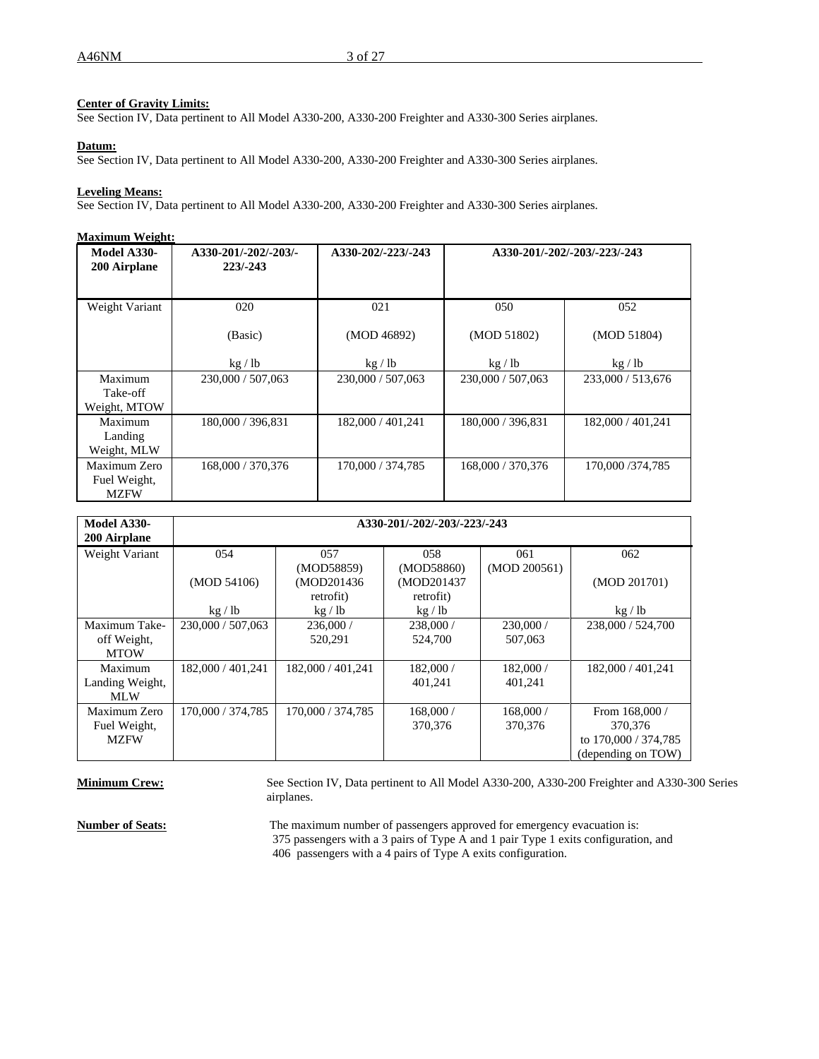# **Center of Gravity Limits:**

See Section IV, Data pertinent to All Model A330-200, A330-200 Freighter and A330-300 Series airplanes.

### **Datum:**

See Section IV, Data pertinent to All Model A330-200, A330-200 Freighter and A330-300 Series airplanes.

### **Leveling Means:**

See Section IV, Data pertinent to All Model A330-200, A330-200 Freighter and A330-300 Series airplanes.

#### **Maximum Weight:**

| <b>Model A330-</b><br>200 Airplane          | A330-201/-202/-203/-<br>$223/ - 243$ | A330-202/-223/-243 |                   | A330-201/-202/-203/-223/-243 |
|---------------------------------------------|--------------------------------------|--------------------|-------------------|------------------------------|
| Weight Variant                              | 020                                  | 021                | 050               | 052                          |
|                                             | (Basic)                              | (MOD 46892)        | (MOD 51802)       | (MOD 51804)                  |
|                                             | kg / lb                              | kg / lb            | kg/lb             | kg / lb                      |
| Maximum<br>Take-off<br>Weight, MTOW         | 230,000 / 507,063                    | 230,000 / 507,063  | 230,000 / 507,063 | 233,000 / 513,676            |
| Maximum<br>Landing<br>Weight, MLW           | 180,000 / 396,831                    | 182,000 / 401,241  | 180,000 / 396,831 | 182,000 / 401,241            |
| Maximum Zero<br>Fuel Weight,<br><b>MZFW</b> | 168,000 / 370,376                    | 170,000 / 374,785  | 168,000 / 370,376 | 170,000/374,785              |

| Model A330-<br>200 Airplane       | A330-201/-202/-203/-223/-243 |                          |                         |                     |                      |  |  |
|-----------------------------------|------------------------------|--------------------------|-------------------------|---------------------|----------------------|--|--|
| Weight Variant                    | 054                          | 057<br>(MOD58859)        | 058<br>(MOD58860)       | 061<br>(MOD 200561) | 062                  |  |  |
|                                   | (MOD 54106)                  | (MOD201436)<br>retrofit) | (MOD201437<br>retrofit) |                     | (MOD 201701)         |  |  |
|                                   | kg / lb                      | kg / lb                  | kg / lb                 |                     | kg / lb              |  |  |
| Maximum Take-                     | 230,000 / 507,063            | 236,000/                 | 238,000/                | 230,000 /           | 238,000 / 524,700    |  |  |
| off Weight,<br><b>MTOW</b>        |                              | 520.291                  | 524,700                 | 507,063             |                      |  |  |
| Maximum<br>Landing Weight,<br>MLW | 182,000 / 401,241            | 182,000 / 401,241        | 182,000 /<br>401.241    | 182,000/<br>401,241 | 182,000 / 401,241    |  |  |
| Maximum Zero                      | 170,000 / 374,785            | 170,000 / 374,785        | 168,000 /               | 168,000/            | From 168,000 /       |  |  |
| Fuel Weight,                      |                              |                          | 370,376                 | 370,376             | 370,376              |  |  |
| <b>MZFW</b>                       |                              |                          |                         |                     | to 170,000 / 374,785 |  |  |
|                                   |                              |                          |                         |                     | (depending on TOW)   |  |  |

**Minimum Crew:** See Section IV, Data pertinent to All Model A330-200, A330-200 Freighter and A330-300 Series airplanes.

**Number of Seats:** The maximum number of passengers approved for emergency evacuation is: 375 passengers with a 3 pairs of Type A and 1 pair Type 1 exits configuration, and 406 passengers with a 4 pairs of Type A exits configuration.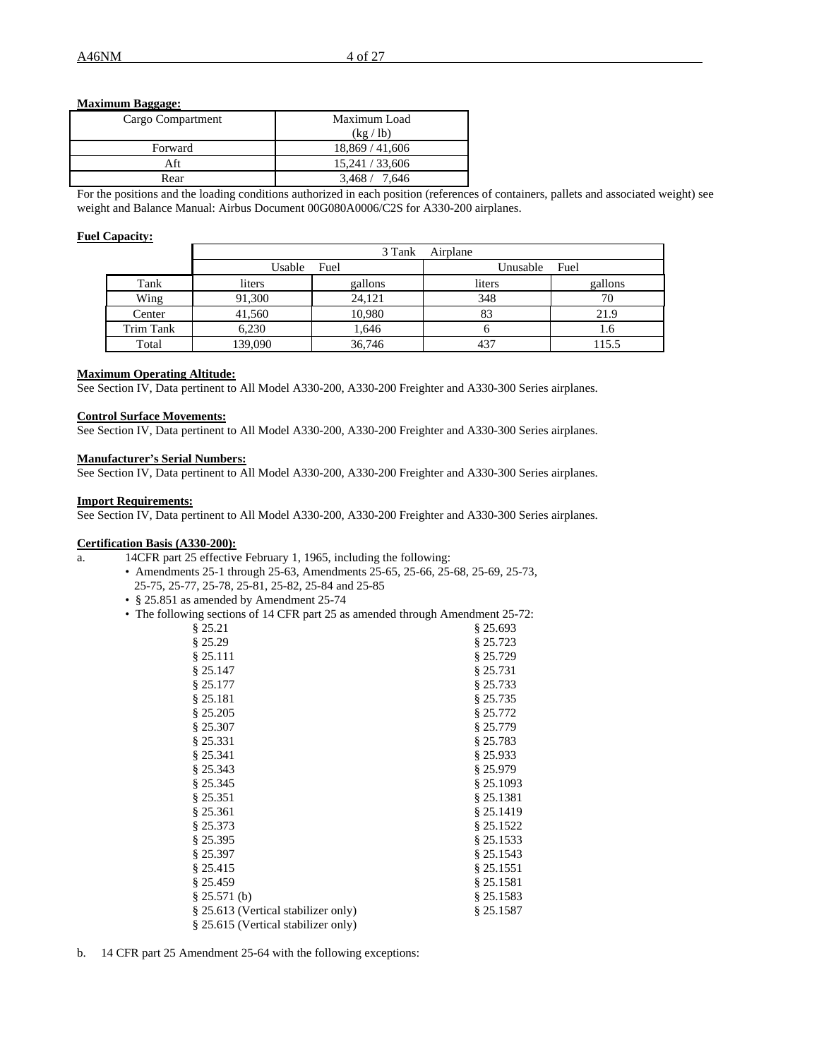## **Maximum Baggage:**

| Cargo Compartment | Maximum Load    |
|-------------------|-----------------|
|                   | (kg / lb)       |
| Forward           | 18,869 / 41,606 |
| Aft               | 15,241 / 33,606 |
| Rear              | 3.468 / 7.646   |

For the positions and the loading conditions authorized in each position (references of containers, pallets and associated weight) see weight and Balance Manual: Airbus Document 00G080A0006/C2S for A330-200 airplanes.

# **Fuel Capacity:**

|           |         | 3 Tank  | Airplane |         |
|-----------|---------|---------|----------|---------|
|           | Usable  | Fuel    | Unusable | Fuel    |
| Tank      | liters  | gallons | liters   | gallons |
| Wing      | 91,300  | 24.121  | 348      | 70      |
| Center    | 41,560  | 10,980  | 83       | 21.9    |
| Trim Tank | 6.230   | 1,646   |          | 1.6     |
| Total     | 139,090 | 36,746  | 437      | 115.5   |

# **Maximum Operating Altitude:**

See Section IV, Data pertinent to All Model A330-200, A330-200 Freighter and A330-300 Series airplanes.

# **Control Surface Movements:**

See Section IV, Data pertinent to All Model A330-200, A330-200 Freighter and A330-300 Series airplanes.

# **Manufacturer's Serial Numbers:**

See Section IV, Data pertinent to All Model A330-200, A330-200 Freighter and A330-300 Series airplanes.

# **Import Requirements:**

See Section IV, Data pertinent to All Model A330-200, A330-200 Freighter and A330-300 Series airplanes.

# **Certification Basis (A330-200):**

- a. 14CFR part 25 effective February 1, 1965, including the following:
	- Amendments 25-1 through 25-63, Amendments 25-65, 25-66, 25-68, 25-69, 25-73, 25-75, 25-77, 25-78, 25-81, 25-82, 25-84 and 25-85
	- § 25.851 as amended by Amendment 25-74
	- The following sections of 14 CFR part 25 as amended through Amendment 25-72:

| $\mu$ security of 14 CPK part 25 as amended unough Amendment 25-12 |            |
|--------------------------------------------------------------------|------------|
| § 25.21                                                            | $§$ 25.693 |
| § 25.29                                                            | \$25.723   |
| § 25.111                                                           | \$25.729   |
| § 25.147                                                           | \$25.731   |
| § 25.177                                                           | \$25.733   |
| § 25.181                                                           | \$25.735   |
| § 25.205                                                           | \$25.772   |
| § 25.307                                                           | \$25.779   |
| § 25.331                                                           | \$25.783   |
| § 25.341                                                           | § 25.933   |
| § 25.343                                                           | \$25.979   |
| § 25.345                                                           | \$25.1093  |
| § 25.351                                                           | § 25.1381  |
| § 25.361                                                           | \$25.1419  |
| § 25.373                                                           | \$25.1522  |
| § 25.395                                                           | \$25.1533  |
| § 25.397                                                           | \$25.1543  |
| § 25.415                                                           | \$25.1551  |
| § 25.459                                                           | \$25.1581  |
| § 25.571(b)                                                        | \$25.1583  |
| § 25.613 (Vertical stabilizer only)                                | \$25.1587  |
| § 25.615 (Vertical stabilizer only)                                |            |

b. 14 CFR part 25 Amendment 25-64 with the following exceptions: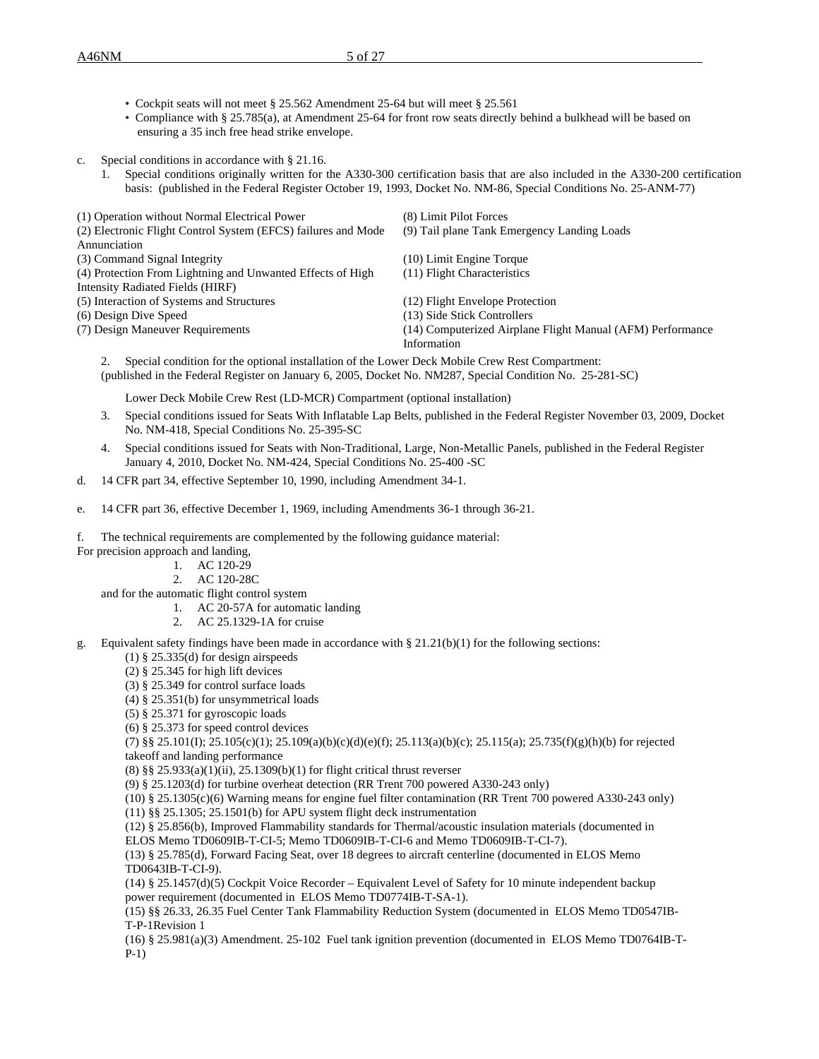- Cockpit seats will not meet § 25.562 Amendment 25-64 but will meet § 25.561
- Compliance with § 25.785(a), at Amendment 25-64 for front row seats directly behind a bulkhead will be based on ensuring a 35 inch free head strike envelope.
- c. Special conditions in accordance with § 21.16.
	- 1. Special conditions originally written for the A330-300 certification basis that are also included in the A330-200 certification basis: (published in the Federal Register October 19, 1993, Docket No. NM-86, Special Conditions No. 25-ANM-77)

| (1) Operation without Normal Electrical Power                 | (8) Limit Pilot Forces                                     |
|---------------------------------------------------------------|------------------------------------------------------------|
| (2) Electronic Flight Control System (EFCS) failures and Mode | (9) Tail plane Tank Emergency Landing Loads                |
| Annunciation                                                  |                                                            |
| (3) Command Signal Integrity                                  | $(10)$ Limit Engine Torque                                 |
| (4) Protection From Lightning and Unwanted Effects of High    | (11) Flight Characteristics                                |
| Intensity Radiated Fields (HIRF)                              |                                                            |
| (5) Interaction of Systems and Structures                     | (12) Flight Envelope Protection                            |
| (6) Design Dive Speed                                         | (13) Side Stick Controllers                                |
| (7) Design Maneuver Requirements                              | (14) Computerized Airplane Flight Manual (AFM) Performance |
|                                                               | Information                                                |

2. Special condition for the optional installation of the Lower Deck Mobile Crew Rest Compartment: (published in the Federal Register on January 6, 2005, Docket No. NM287, Special Condition No. 25-281-SC)

Lower Deck Mobile Crew Rest (LD-MCR) Compartment (optional installation)

- 3. Special conditions issued for Seats With Inflatable Lap Belts, published in the Federal Register November 03, 2009, Docket No. NM-418, Special Conditions No. 25-395-SC
- 4. Special conditions issued for Seats with Non-Traditional, Large, Non-Metallic Panels, published in the Federal Register January 4, 2010, Docket No. NM-424, Special Conditions No. 25-400 -SC
- d. 14 CFR part 34, effective September 10, 1990, including Amendment 34-1.
- e. 14 CFR part 36, effective December 1, 1969, including Amendments 36-1 through 36-21.

f. The technical requirements are complemented by the following guidance material:

- For precision approach and landing,
	- 1. AC 120-29
	- 2. AC 120-28C

and for the automatic flight control system

- 1. AC 20-57A for automatic landing
- 2. AC 25.1329-1A for cruise
- g. Equivalent safety findings have been made in accordance with  $\S 21.21(b)(1)$  for the following sections:
	- $(1)$  § 25.335 $(d)$  for design airspeeds
	- $(2)$  § 25.345 for high lift devices
	- (3) § 25.349 for control surface loads
	- (4) § 25.351(b) for unsymmetrical loads
	- (5) § 25.371 for gyroscopic loads
	- (6) § 25.373 for speed control devices

(7) §§ 25.101(I); 25.105(c)(1); 25.109(a)(b)(c)(d)(e)(f); 25.113(a)(b)(c); 25.115(a); 25.735(f)(g)(h)(b) for rejected takeoff and landing performance

(8) §§ 25.933(a)(1)(ii), 25.1309(b)(1) for flight critical thrust reverser

(9) § 25.1203(d) for turbine overheat detection (RR Trent 700 powered A330-243 only)

(10) § 25.1305(c)(6) Warning means for engine fuel filter contamination (RR Trent 700 powered A330-243 only)

(11) §§ 25.1305; 25.1501(b) for APU system flight deck instrumentation

(12) § 25.856(b), Improved Flammability standards for Thermal/acoustic insulation materials (documented in

ELOS Memo TD0609IB-T-CI-5; Memo TD0609IB-T-CI-6 and Memo TD0609IB-T-CI-7).

(13) § 25.785(d), Forward Facing Seat, over 18 degrees to aircraft centerline (documented in ELOS Memo TD0643IB-T-CI-9).

(14) § 25.1457(d)(5) Cockpit Voice Recorder – Equivalent Level of Safety for 10 minute independent backup power requirement (documented in ELOS Memo TD0774IB-T-SA-1).

(15) §§ 26.33, 26.35 Fuel Center Tank Flammability Reduction System (documented in ELOS Memo TD0547IB-T-P-1Revision 1

(16) § 25.981(a)(3) Amendment. 25-102 Fuel tank ignition prevention (documented in ELOS Memo TD0764IB-T-P-1)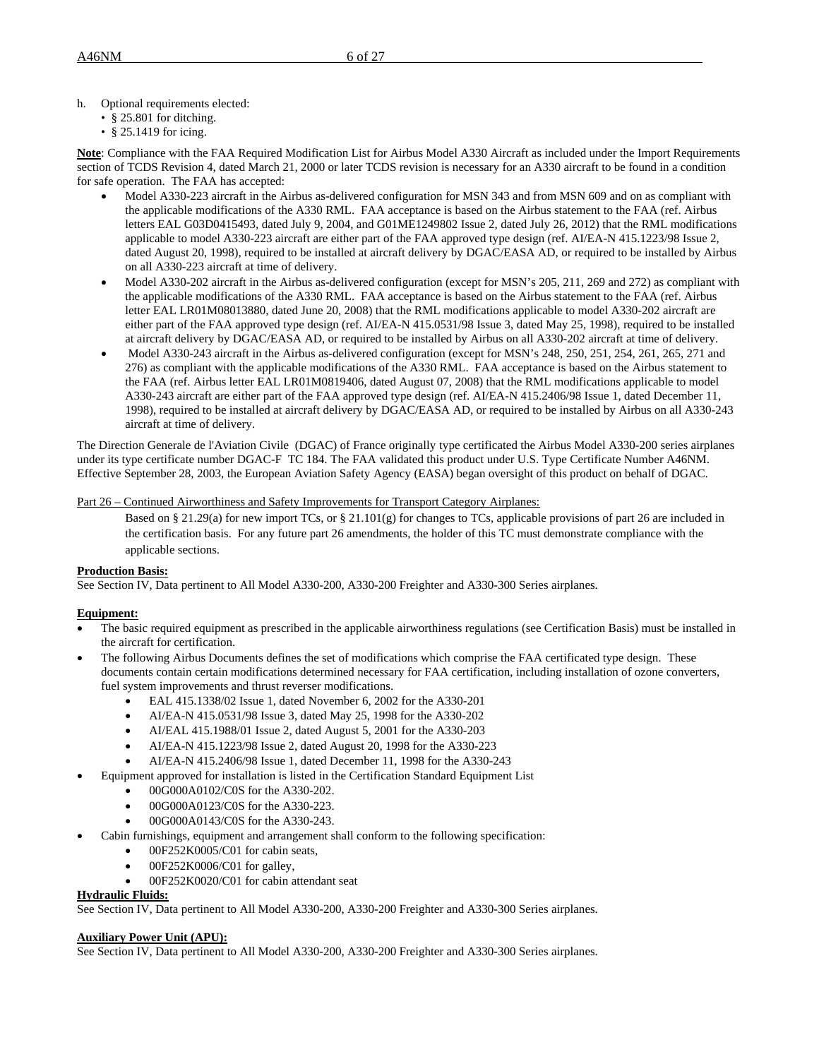h. Optional requirements elected:

- § 25.801 for ditching.
- § 25.1419 for icing.

**Note**: Compliance with the FAA Required Modification List for Airbus Model A330 Aircraft as included under the Import Requirements section of TCDS Revision 4, dated March 21, 2000 or later TCDS revision is necessary for an A330 aircraft to be found in a condition for safe operation. The FAA has accepted:

- Model A330-223 aircraft in the Airbus as-delivered configuration for MSN 343 and from MSN 609 and on as compliant with the applicable modifications of the A330 RML. FAA acceptance is based on the Airbus statement to the FAA (ref. Airbus letters EAL G03D0415493, dated July 9, 2004, and G01ME1249802 Issue 2, dated July 26, 2012) that the RML modifications applicable to model A330-223 aircraft are either part of the FAA approved type design (ref. AI/EA-N 415.1223/98 Issue 2, dated August 20, 1998), required to be installed at aircraft delivery by DGAC/EASA AD, or required to be installed by Airbus on all A330-223 aircraft at time of delivery.
- Model A330-202 aircraft in the Airbus as-delivered configuration (except for MSN's 205, 211, 269 and 272) as compliant with the applicable modifications of the A330 RML. FAA acceptance is based on the Airbus statement to the FAA (ref. Airbus letter EAL LR01M08013880, dated June 20, 2008) that the RML modifications applicable to model A330-202 aircraft are either part of the FAA approved type design (ref. AI/EA-N 415.0531/98 Issue 3, dated May 25, 1998), required to be installed at aircraft delivery by DGAC/EASA AD, or required to be installed by Airbus on all A330-202 aircraft at time of delivery.
- Model A330-243 aircraft in the Airbus as-delivered configuration (except for MSN's 248, 250, 251, 254, 261, 265, 271 and 276) as compliant with the applicable modifications of the A330 RML. FAA acceptance is based on the Airbus statement to the FAA (ref. Airbus letter EAL LR01M0819406, dated August 07, 2008) that the RML modifications applicable to model A330-243 aircraft are either part of the FAA approved type design (ref. AI/EA-N 415.2406/98 Issue 1, dated December 11, 1998), required to be installed at aircraft delivery by DGAC/EASA AD, or required to be installed by Airbus on all A330-243 aircraft at time of delivery.

The Direction Generale de l'Aviation Civile (DGAC) of France originally type certificated the Airbus Model A330-200 series airplanes under its type certificate number DGAC-F TC 184. The FAA validated this product under U.S. Type Certificate Number A46NM. Effective September 28, 2003, the European Aviation Safety Agency (EASA) began oversight of this product on behalf of DGAC.

# Part 26 – Continued Airworthiness and Safety Improvements for Transport Category Airplanes:

Based on § 21.29(a) for new import TCs, or § 21.101(g) for changes to TCs, applicable provisions of part 26 are included in the certification basis. For any future part 26 amendments, the holder of this TC must demonstrate compliance with the applicable sections.

# **Production Basis:**

See Section IV, Data pertinent to All Model A330-200, A330-200 Freighter and A330-300 Series airplanes.

# **Equipment:**

- The basic required equipment as prescribed in the applicable airworthiness regulations (see Certification Basis) must be installed in the aircraft for certification.
- The following Airbus Documents defines the set of modifications which comprise the FAA certificated type design. These documents contain certain modifications determined necessary for FAA certification, including installation of ozone converters, fuel system improvements and thrust reverser modifications.
	- EAL 415.1338/02 Issue 1, dated November 6, 2002 for the A330-201
	- AI/EA-N 415.0531/98 Issue 3, dated May 25, 1998 for the A330-202
	- AI/EAL 415.1988/01 Issue 2, dated August 5, 2001 for the A330-203
	- AI/EA-N 415.1223/98 Issue 2, dated August 20, 1998 for the A330-223
	- AI/EA-N 415.2406/98 Issue 1, dated December 11, 1998 for the A330-243
- Equipment approved for installation is listed in the Certification Standard Equipment List
	- 00G000A0102/C0S for the A330-202.
	- 00G000A0123/C0S for the A330-223.
	- 00G000A0143/C0S for the A330-243.
	- Cabin furnishings, equipment and arrangement shall conform to the following specification:
		- 00F252K0005/C01 for cabin seats,
		- $\bullet$  00F252K0006/C01 for galley,
		- 00F252K0020/C01 for cabin attendant seat

#### **Hydraulic Fluids:**

See Section IV, Data pertinent to All Model A330-200, A330-200 Freighter and A330-300 Series airplanes.

#### **Auxiliary Power Unit (APU):**

See Section IV, Data pertinent to All Model A330-200, A330-200 Freighter and A330-300 Series airplanes.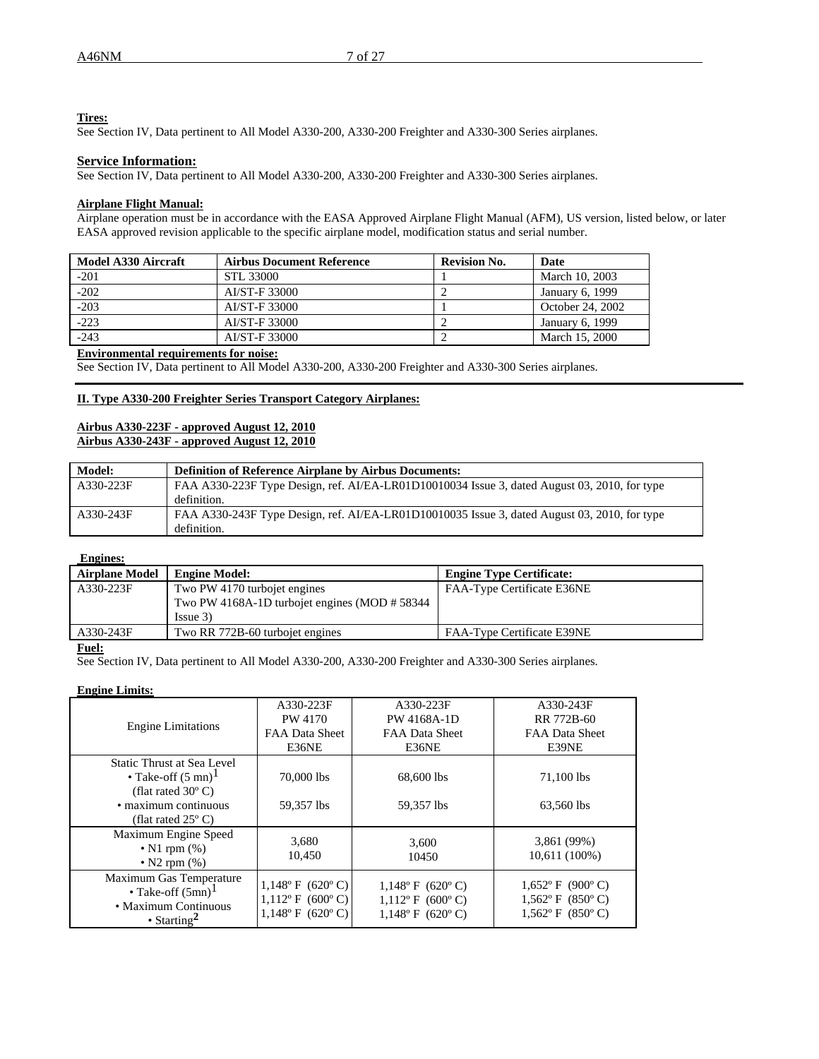# **Tires:**

See Section IV, Data pertinent to All Model A330-200, A330-200 Freighter and A330-300 Series airplanes.

## **Service Information:**

See Section IV, Data pertinent to All Model A330-200, A330-200 Freighter and A330-300 Series airplanes.

# **Airplane Flight Manual:**

Airplane operation must be in accordance with the EASA Approved Airplane Flight Manual (AFM), US version, listed below, or later EASA approved revision applicable to the specific airplane model, modification status and serial number.

| Model A330 Aircraft | <b>Airbus Document Reference</b> | <b>Revision No.</b> | Date             |
|---------------------|----------------------------------|---------------------|------------------|
| $-201$              | STL 33000                        |                     | March 10, 2003   |
| $-202$              | AI/ST-F 33000                    |                     | January 6, 1999  |
| $-203$              | AI/ST-F 33000                    |                     | October 24, 2002 |
| $-223$              | AI/ST-F 33000                    |                     | January 6, 1999  |
| $-243$              | AI/ST-F 33000                    |                     | March 15, 2000   |

### **Environmental requirements for noise:**

See Section IV, Data pertinent to All Model A330-200, A330-200 Freighter and A330-300 Series airplanes.

#### **II. Type A330-200 Freighter Series Transport Category Airplanes:**

# **Airbus A330-223F - approved August 12, 2010 Airbus A330-243F - approved August 12, 2010**

| <b>Model:</b> | <b>Definition of Reference Airplane by Airbus Documents:</b>                                                |
|---------------|-------------------------------------------------------------------------------------------------------------|
| A330-223F     | FAA A330-223F Type Design, ref. AI/EA-LR01D10010034 Issue 3, dated August 03, 2010, for type<br>definition. |
| A330-243F     | FAA A330-243F Type Design, ref. AI/EA-LR01D10010035 Issue 3, dated August 03, 2010, for type<br>definition. |

#### **Engines:**

| <b>Airplane Model</b> | <b>Engine Model:</b>                             | <b>Engine Type Certificate:</b> |
|-----------------------|--------------------------------------------------|---------------------------------|
| A330-223F             | Two PW 4170 turbojet engines                     | FAA-Type Certificate E36NE      |
|                       | Two PW 4168A-1D turbojet engines (MOD $\# 58344$ |                                 |
|                       | Is sue 3)                                        |                                 |
| A330-243F             | Two RR 772B-60 turbojet engines                  | FAA-Type Certificate E39NE      |

#### **Fuel:**

See Section IV, Data pertinent to All Model A330-200, A330-200 Freighter and A330-300 Series airplanes.

# **Engine Limits:**

| <b>Engine Limitations</b>                                                                                                                         | A330-223F<br>PW 4170<br>FAA Data Sheet<br>E36NE                         | A330-223F<br>PW 4168A-1D<br>FAA Data Sheet<br>E36NE                   | A330-243F<br>RR 772B-60<br>FAA Data Sheet<br>E39NE             |
|---------------------------------------------------------------------------------------------------------------------------------------------------|-------------------------------------------------------------------------|-----------------------------------------------------------------------|----------------------------------------------------------------|
| Static Thrust at Sea Level<br>• Take-off $(5 \text{ mn})^1$<br>(flat rated $30^{\circ}$ C)<br>• maximum continuous<br>(flat rated $25^{\circ}$ C) | 70,000 lbs<br>59.357 lbs                                                | 68,600 lbs<br>59.357 lbs                                              | 71,100 lbs<br>63,560 lbs                                       |
| Maximum Engine Speed<br>$\bullet$ N1 rpm $(\%)$<br>$\bullet$ N2 rpm $(\%)$                                                                        | 3,680<br>10.450                                                         | 3,600<br>10450                                                        | 3,861 (99%)<br>10,611 (100%)                                   |
| Maximum Gas Temperature<br>• Take-off $(5mn)^1$<br>• Maximum Continuous<br>• Starting <sup>2</sup>                                                | $1,148^{\circ}$ F (620°C)<br>$1,112$ °F (600°C)<br>$1,148$ ° F (620° C) | $1,148$ °F (620°C)<br>$1,112$ °F (600°C)<br>$1,148^{\circ}$ F (620°C) | $1,652$ °F (900°C)<br>$1,562$ °F (850°C)<br>$1,562$ °F (850°C) |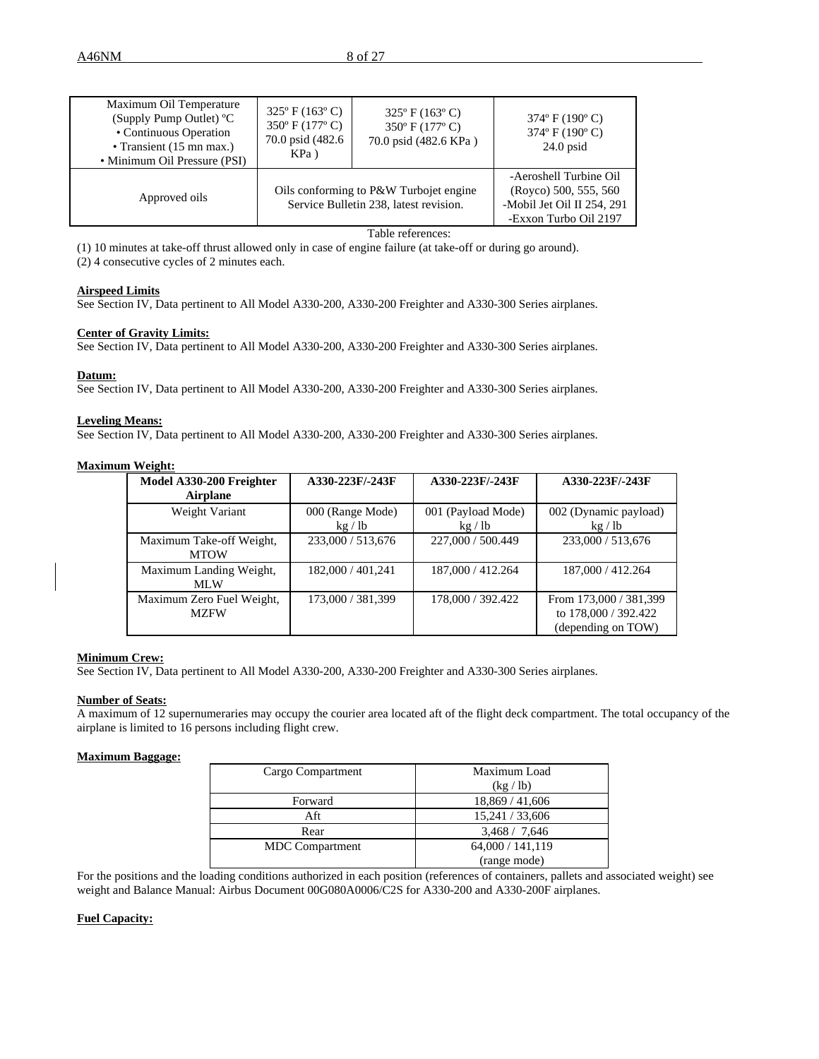| Maximum Oil Temperature<br>(Supply Pump Outlet) °C<br>• Continuous Operation<br>• Transient $(15 \text{ mn max.})$<br>• Minimum Oil Pressure (PSI) | $325^{\circ}$ F (163 $^{\circ}$ C)<br>350° F (177° C)<br>70.0 psid (482.6)<br>$KPa$ ) | $325^{\circ}$ F (163 $^{\circ}$ C)<br>350° F (177° C)<br>70.0 psid (482.6 KPa) | $374^{\circ}$ F (190 $^{\circ}$ C)<br>$374^{\circ}$ F (190 $^{\circ}$ C)<br>$24.0$ psid                |
|----------------------------------------------------------------------------------------------------------------------------------------------------|---------------------------------------------------------------------------------------|--------------------------------------------------------------------------------|--------------------------------------------------------------------------------------------------------|
| Approved oils                                                                                                                                      | Oils conforming to P&W Turbojet engine<br>Service Bulletin 238, latest revision.      |                                                                                | -Aeroshell Turbine Oil<br>(Royco) 500, 555, 560<br>-Mobil Jet Oil II 254, 291<br>-Exxon Turbo Oil 2197 |

Table references:

(1) 10 minutes at take-off thrust allowed only in case of engine failure (at take-off or during go around).

(2) 4 consecutive cycles of 2 minutes each.

## **Airspeed Limits**

See Section IV, Data pertinent to All Model A330-200, A330-200 Freighter and A330-300 Series airplanes.

#### **Center of Gravity Limits:**

See Section IV, Data pertinent to All Model A330-200, A330-200 Freighter and A330-300 Series airplanes.

#### **Datum:**

See Section IV, Data pertinent to All Model A330-200, A330-200 Freighter and A330-300 Series airplanes.

### **Leveling Means:**

See Section IV, Data pertinent to All Model A330-200, A330-200 Freighter and A330-300 Series airplanes.

### **Maximum Weight:**

| Model A330-200 Freighter                 | A330-223F/-243F           | A330-223F/-243F             | A330-223F/-243F                                                      |
|------------------------------------------|---------------------------|-----------------------------|----------------------------------------------------------------------|
| <b>Airplane</b>                          |                           |                             |                                                                      |
| Weight Variant                           | 000 (Range Mode)<br>kg/lb | 001 (Payload Mode)<br>kg/lb | 002 (Dynamic payload)<br>kg / lb                                     |
| Maximum Take-off Weight,<br><b>MTOW</b>  | 233,000 / 513,676         | 227,000 / 500.449           | 233,000 / 513,676                                                    |
| Maximum Landing Weight,<br>MLW           | 182,000 / 401,241         | 187,000 / 412.264           | 187,000 / 412.264                                                    |
| Maximum Zero Fuel Weight,<br><b>MZFW</b> | 173,000 / 381,399         | 178,000 / 392.422           | From 173,000 / 381,399<br>to 178,000 / 392.422<br>(depending on TOW) |

#### **Minimum Crew:**

See Section IV, Data pertinent to All Model A330-200, A330-200 Freighter and A330-300 Series airplanes.

#### **Number of Seats:**

A maximum of 12 supernumeraries may occupy the courier area located aft of the flight deck compartment. The total occupancy of the airplane is limited to 16 persons including flight crew.

#### **Maximum Baggage:**

| Cargo Compartment      | Maximum Load     |
|------------------------|------------------|
|                        | (kg / lb)        |
| Forward                | 18,869 / 41,606  |
| Aft                    | 15,241 / 33,606  |
| Rear                   | 3,468 / 7,646    |
| <b>MDC</b> Compartment | 64,000 / 141,119 |
|                        | (range mode)     |

For the positions and the loading conditions authorized in each position (references of containers, pallets and associated weight) see weight and Balance Manual: Airbus Document 00G080A0006/C2S for A330-200 and A330-200F airplanes.

### **Fuel Capacity:**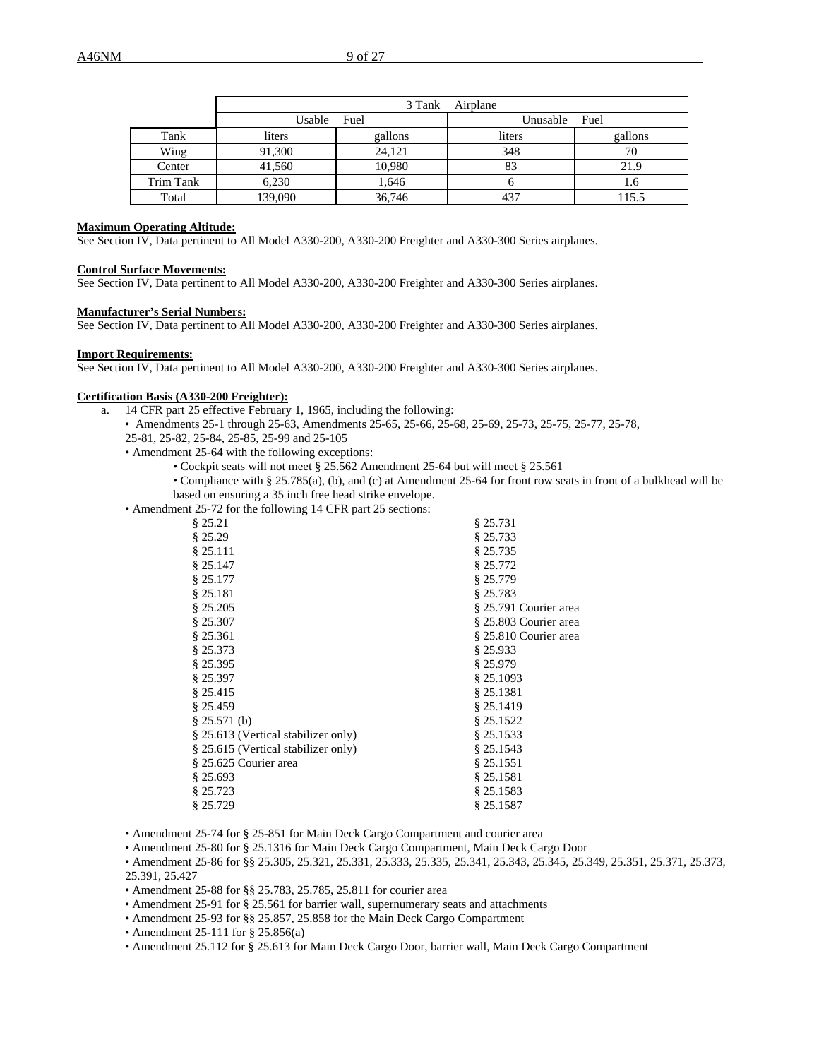|           |         | 3 Tank  | Airplane |         |
|-----------|---------|---------|----------|---------|
|           | Usable  | Fuel    | Unusable | Fuel    |
| Tank      | liters  | gallons | liters   | gallons |
| Wing      | 91,300  | 24.121  | 348      | 70      |
| Center    | 41,560  | 10,980  | 83       | 21.9    |
| Trim Tank | 6,230   | 1,646   |          | 1.0     |
| Total     | 139,090 | 36,746  | 437      | 115.5   |

### **Maximum Operating Altitude:**

See Section IV, Data pertinent to All Model A330-200, A330-200 Freighter and A330-300 Series airplanes.

#### **Control Surface Movements:**

See Section IV, Data pertinent to All Model A330-200, A330-200 Freighter and A330-300 Series airplanes.

#### **Manufacturer's Serial Numbers:**

See Section IV, Data pertinent to All Model A330-200, A330-200 Freighter and A330-300 Series airplanes.

#### **Import Requirements:**

See Section IV, Data pertinent to All Model A330-200, A330-200 Freighter and A330-300 Series airplanes.

#### **Certification Basis (A330-200 Freighter):**

- a. 14 CFR part 25 effective February 1, 1965, including the following:
	- Amendments 25-1 through 25-63, Amendments 25-65, 25-66, 25-68, 25-69, 25-73, 25-75, 25-77, 25-78, 25-81, 25-82, 25-84, 25-85, 25-99 and 25-105
	- Amendment 25-64 with the following exceptions:
		- Cockpit seats will not meet § 25.562 Amendment 25-64 but will meet § 25.561
		- Compliance with § 25.785(a), (b), and (c) at Amendment 25-64 for front row seats in front of a bulkhead will be based on ensuring a 35 inch free head strike envelope.
	- Amendment 25-72 for the following 14 CFR part 25 sections:

| § 25.21                             | § 25.731              |
|-------------------------------------|-----------------------|
| § 25.29                             | § 25.733              |
| § 25.111                            | \$25.735              |
| § 25.147                            | \$25.772              |
| § 25.177                            | § 25.779              |
| § 25.181                            | § 25.783              |
| § 25.205                            | § 25.791 Courier area |
| § 25.307                            | § 25.803 Courier area |
| § 25.361                            | § 25.810 Courier area |
| § 25.373                            | § 25.933              |
| § 25.395                            | § 25.979              |
| $§$ 25.397                          | $§$ 25.1093           |
| § 25.415                            | § 25.1381             |
| § 25.459                            | \$25.1419             |
| § 25.571(b)                         | \$25.1522             |
| § 25.613 (Vertical stabilizer only) | § 25.1533             |
| § 25.615 (Vertical stabilizer only) | § 25.1543             |
| § 25.625 Courier area               | \$25.1551             |
| § 25.693                            | § 25.1581             |
| \$25.723                            | \$25.1583             |
| \$25.729                            | \$25.1587             |

• Amendment 25-74 for § 25-851 for Main Deck Cargo Compartment and courier area

• Amendment 25-80 for § 25.1316 for Main Deck Cargo Compartment, Main Deck Cargo Door

• Amendment 25-86 for §§ 25.305, 25.321, 25.331, 25.333, 25.335, 25.341, 25.343, 25.345, 25.349, 25.351, 25.371, 25.373, 25.391, 25.427

• Amendment 25-88 for §§ 25.783, 25.785, 25.811 for courier area

- Amendment 25-91 for § 25.561 for barrier wall, supernumerary seats and attachments
- Amendment 25-93 for §§ 25.857, 25.858 for the Main Deck Cargo Compartment
- Amendment 25-111 for § 25.856(a)
- Amendment 25.112 for § 25.613 for Main Deck Cargo Door, barrier wall, Main Deck Cargo Compartment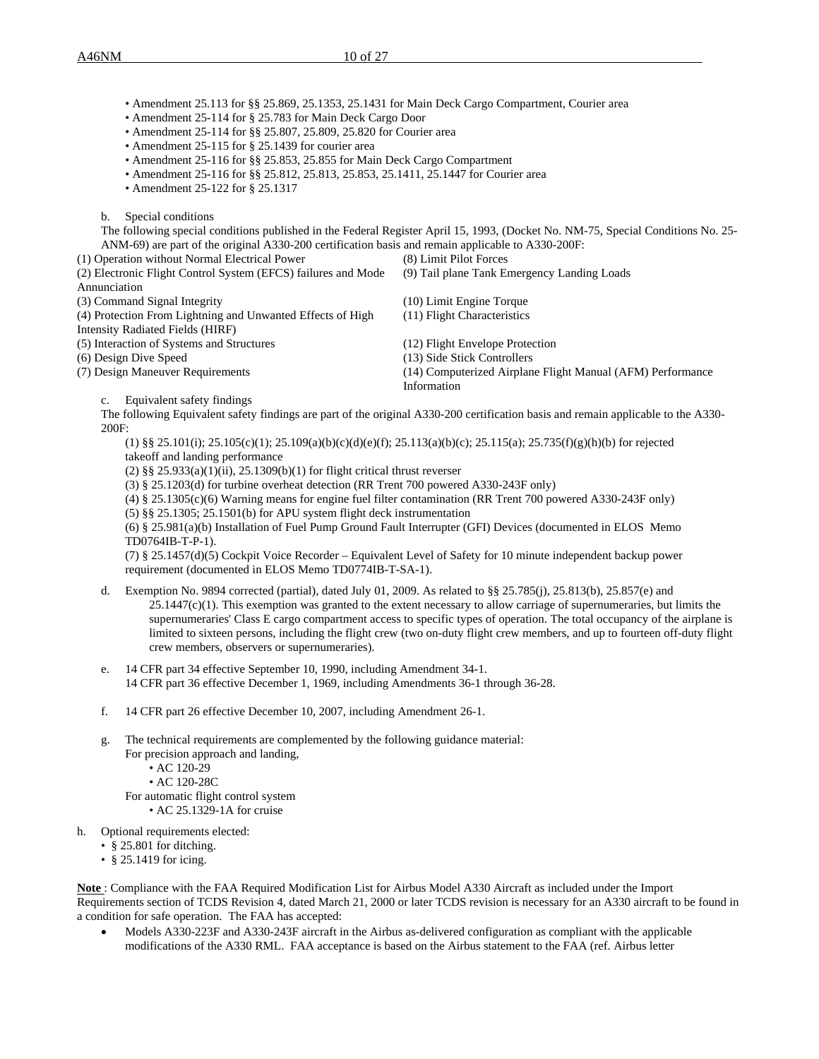• Amendment 25.113 for §§ 25.869, 25.1353, 25.1431 for Main Deck Cargo Compartment, Courier area

- Amendment 25-114 for § 25.783 for Main Deck Cargo Door
- Amendment 25-114 for §§ 25.807, 25.809, 25.820 for Courier area
- Amendment 25-115 for § 25.1439 for courier area
- Amendment 25-116 for §§ 25.853, 25.855 for Main Deck Cargo Compartment
- Amendment 25-116 for §§ 25.812, 25.813, 25.853, 25.1411, 25.1447 for Courier area
- Amendment 25-122 for § 25.1317
- b. Special conditions

The following special conditions published in the Federal Register April 15, 1993, (Docket No. NM-75, Special Conditions No. 25- ANM-69) are part of the original A330-200 certification basis and remain applicable to A330-200F:

(1) Operation without Normal Electrical Power (8) Limit Pilot Forces

| (2) Electronic Flight Control System (EFCS) failures and Mode | (9) Tail plane Tank Emergency Landing Loads                |
|---------------------------------------------------------------|------------------------------------------------------------|
| Annunciation                                                  |                                                            |
| (3) Command Signal Integrity                                  | $(10)$ Limit Engine Torque                                 |
| (4) Protection From Lightning and Unwanted Effects of High    | (11) Flight Characteristics                                |
| Intensity Radiated Fields (HIRF)                              |                                                            |
| (5) Interaction of Systems and Structures                     | (12) Flight Envelope Protection                            |
| (6) Design Dive Speed                                         | (13) Side Stick Controllers                                |
| (7) Design Maneuver Requirements                              | (14) Computerized Airplane Flight Manual (AFM) Performance |
|                                                               | Information                                                |

c. Equivalent safety findings

The following Equivalent safety findings are part of the original A330-200 certification basis and remain applicable to the A330- 200F:

(1) §§ 25.101(i); 25.105(c)(1); 25.109(a)(b)(c)(d)(e)(f); 25.113(a)(b)(c); 25.115(a); 25.735(f)(g)(h)(b) for rejected takeoff and landing performance

(2)  $\S\S 25.933(a)(1)(ii)$ ,  $25.1309(b)(1)$  for flight critical thrust reverser

- (3) § 25.1203(d) for turbine overheat detection (RR Trent 700 powered A330-243F only)
- (4) § 25.1305(c)(6) Warning means for engine fuel filter contamination (RR Trent 700 powered A330-243F only)

(5) §§ 25.1305; 25.1501(b) for APU system flight deck instrumentation

(6) § 25.981(a)(b) Installation of Fuel Pump Ground Fault Interrupter (GFI) Devices (documented in ELOS Memo TD0764IB-T-P-1).

(7) § 25.1457(d)(5) Cockpit Voice Recorder – Equivalent Level of Safety for 10 minute independent backup power requirement (documented in ELOS Memo TD0774IB-T-SA-1).

- d. Exemption No. 9894 corrected (partial), dated July 01, 2009. As related to §§ 25.785(j), 25.813(b), 25.857(e) and  $25.1447(c)(1)$ . This exemption was granted to the extent necessary to allow carriage of supernumeraries, but limits the supernumeraries' Class E cargo compartment access to specific types of operation. The total occupancy of the airplane is limited to sixteen persons, including the flight crew (two on-duty flight crew members, and up to fourteen off-duty flight crew members, observers or supernumeraries).
- e. 14 CFR part 34 effective September 10, 1990, including Amendment 34-1. 14 CFR part 36 effective December 1, 1969, including Amendments 36-1 through 36-28.
- f. 14 CFR part 26 effective December 10, 2007, including Amendment 26-1.
- g. The technical requirements are complemented by the following guidance material: For precision approach and landing,
	- AC 120-29
	- AC 120-28C

For automatic flight control system • AC 25.1329-1A for cruise

- 
- h. Optional requirements elected:
	- § 25.801 for ditching.
	- § 25.1419 for icing.

**Note** : Compliance with the FAA Required Modification List for Airbus Model A330 Aircraft as included under the Import Requirements section of TCDS Revision 4, dated March 21, 2000 or later TCDS revision is necessary for an A330 aircraft to be found in a condition for safe operation. The FAA has accepted:

• Models A330-223F and A330-243F aircraft in the Airbus as-delivered configuration as compliant with the applicable modifications of the A330 RML. FAA acceptance is based on the Airbus statement to the FAA (ref. Airbus letter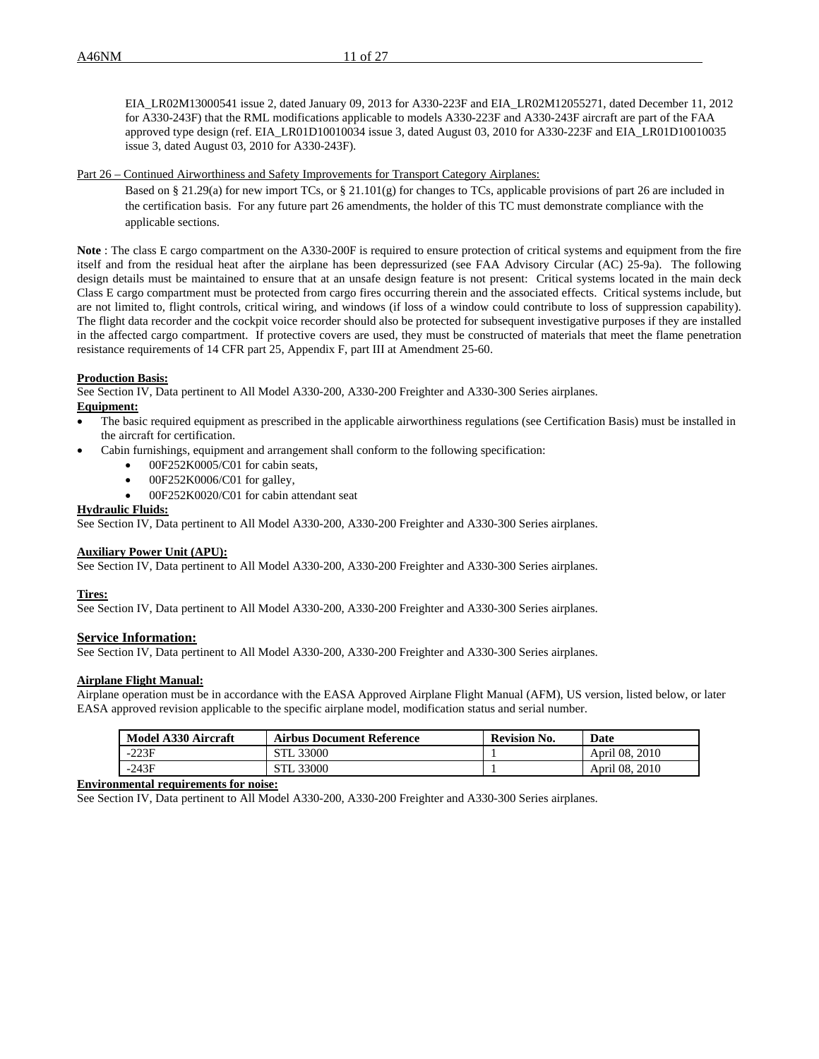EIA\_LR02M13000541 issue 2, dated January 09, 2013 for A330-223F and EIA\_LR02M12055271, dated December 11, 2012 for A330-243F) that the RML modifications applicable to models A330-223F and A330-243F aircraft are part of the FAA approved type design (ref. EIA\_LR01D10010034 issue 3, dated August 03, 2010 for A330-223F and EIA\_LR01D10010035 issue 3, dated August 03, 2010 for A330-243F).

#### Part 26 – Continued Airworthiness and Safety Improvements for Transport Category Airplanes:

Based on § 21.29(a) for new import TCs, or § 21.101(g) for changes to TCs, applicable provisions of part 26 are included in the certification basis. For any future part 26 amendments, the holder of this TC must demonstrate compliance with the applicable sections.

**Note** : The class E cargo compartment on the A330-200F is required to ensure protection of critical systems and equipment from the fire itself and from the residual heat after the airplane has been depressurized (see FAA Advisory Circular (AC) 25-9a). The following design details must be maintained to ensure that at an unsafe design feature is not present: Critical systems located in the main deck Class E cargo compartment must be protected from cargo fires occurring therein and the associated effects. Critical systems include, but are not limited to, flight controls, critical wiring, and windows (if loss of a window could contribute to loss of suppression capability). The flight data recorder and the cockpit voice recorder should also be protected for subsequent investigative purposes if they are installed in the affected cargo compartment. If protective covers are used, they must be constructed of materials that meet the flame penetration resistance requirements of 14 CFR part 25, Appendix F, part III at Amendment 25-60.

#### **Production Basis:**

See Section IV, Data pertinent to All Model A330-200, A330-200 Freighter and A330-300 Series airplanes.

# **Equipment:**

- The basic required equipment as prescribed in the applicable airworthiness regulations (see Certification Basis) must be installed in the aircraft for certification.
- Cabin furnishings, equipment and arrangement shall conform to the following specification:
	- 00F252K0005/C01 for cabin seats,
	- $\bullet$  00F252K0006/C01 for galley,
	- 00F252K0020/C01 for cabin attendant seat

#### **Hydraulic Fluids:**

See Section IV, Data pertinent to All Model A330-200, A330-200 Freighter and A330-300 Series airplanes.

### **Auxiliary Power Unit (APU):**

See Section IV, Data pertinent to All Model A330-200, A330-200 Freighter and A330-300 Series airplanes.

#### **Tires:**

See Section IV, Data pertinent to All Model A330-200, A330-200 Freighter and A330-300 Series airplanes.

# **Service Information:**

See Section IV, Data pertinent to All Model A330-200, A330-200 Freighter and A330-300 Series airplanes.

#### **Airplane Flight Manual:**

Airplane operation must be in accordance with the EASA Approved Airplane Flight Manual (AFM), US version, listed below, or later EASA approved revision applicable to the specific airplane model, modification status and serial number.

| Model A330 Aircraft | <b>Airbus Document Reference</b> | <b>Revision No.</b> | Date           |
|---------------------|----------------------------------|---------------------|----------------|
| -223F               | 33000                            |                     | April 08, 2010 |
| -243F               | 33000                            |                     | April 08, 2010 |

# **Environmental requirements for noise:**

See Section IV, Data pertinent to All Model A330-200, A330-200 Freighter and A330-300 Series airplanes.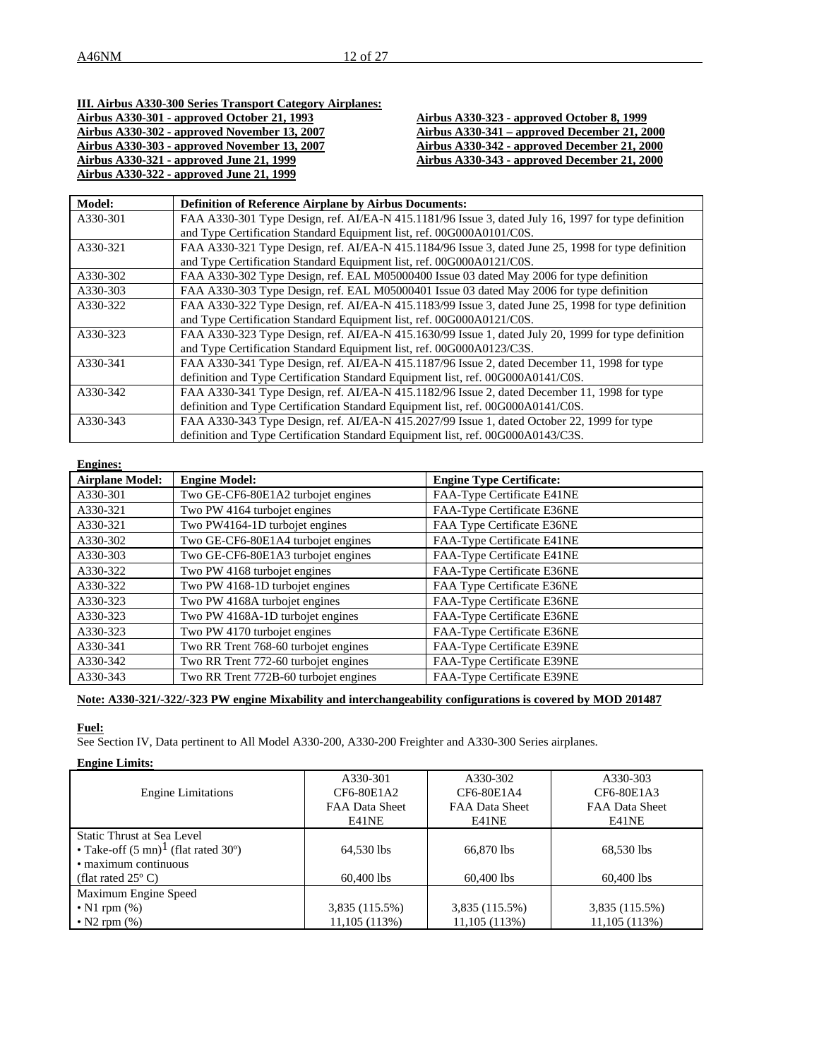# **III. Airbus A330-300 Series Transport Category Airplanes: Airbus A330-301 - approved October 21, 1993 Airbus A330-323 - approved October 8, 1999 Airbus A330-302 - approved November 13, 2007 Airbus A330-341 – approved December 21, 2000 Airbus A330-303 - approved November 13, 2007 Airbus A330-342 - approved December 21, 2000 Airbus A330-321 - approved June 21, 1999 Airbus A330-343 - approved December 21, 2000**

**Airbus A330-322 - approved June 21, 1999**

|  | Airbus A330-323 - approved October 8, 1999   |  |
|--|----------------------------------------------|--|
|  | Airbus A330-341 – approved December 21, 2000 |  |
|  | Airbus A330-342 - approved December 21, 2000 |  |
|  | Airbus A330-343 - approved December 21, 2000 |  |
|  |                                              |  |

| Model:   | <b>Definition of Reference Airplane by Airbus Documents:</b>                                        |
|----------|-----------------------------------------------------------------------------------------------------|
| A330-301 | FAA A330-301 Type Design, ref. AI/EA-N 415.1181/96 Issue 3, dated July 16, 1997 for type definition |
|          | and Type Certification Standard Equipment list, ref. 00G000A0101/C0S.                               |
| A330-321 | FAA A330-321 Type Design, ref. AI/EA-N 415.1184/96 Issue 3, dated June 25, 1998 for type definition |
|          | and Type Certification Standard Equipment list, ref. 00G000A0121/C0S.                               |
| A330-302 | FAA A330-302 Type Design, ref. EAL M05000400 Issue 03 dated May 2006 for type definition            |
| A330-303 | FAA A330-303 Type Design, ref. EAL M05000401 Issue 03 dated May 2006 for type definition            |
| A330-322 | FAA A330-322 Type Design, ref. AI/EA-N 415.1183/99 Issue 3, dated June 25, 1998 for type definition |
|          | and Type Certification Standard Equipment list, ref. 00G000A0121/C0S.                               |
| A330-323 | FAA A330-323 Type Design, ref. AI/EA-N 415.1630/99 Issue 1, dated July 20, 1999 for type definition |
|          | and Type Certification Standard Equipment list, ref. 00G000A0123/C3S.                               |
| A330-341 | FAA A330-341 Type Design, ref. AI/EA-N 415.1187/96 Issue 2, dated December 11, 1998 for type        |
|          | definition and Type Certification Standard Equipment list, ref. 00G000A0141/C0S.                    |
| A330-342 | FAA A330-341 Type Design, ref. AI/EA-N 415.1182/96 Issue 2, dated December 11, 1998 for type        |
|          | definition and Type Certification Standard Equipment list, ref. 00G000A0141/C0S.                    |
| A330-343 | FAA A330-343 Type Design, ref. AI/EA-N 415.2027/99 Issue 1, dated October 22, 1999 for type         |
|          | definition and Type Certification Standard Equipment list, ref. 00G000A0143/C3S.                    |

| <b>Engines:</b>        |                                       |                                 |
|------------------------|---------------------------------------|---------------------------------|
| <b>Airplane Model:</b> | <b>Engine Model:</b>                  | <b>Engine Type Certificate:</b> |
| A330-301               | Two GE-CF6-80E1A2 turbojet engines    | FAA-Type Certificate E41NE      |
| A330-321               | Two PW 4164 turbojet engines          | FAA-Type Certificate E36NE      |
| A330-321               | Two PW4164-1D turbojet engines        | FAA Type Certificate E36NE      |
| A330-302               | Two GE-CF6-80E1A4 turbojet engines    | FAA-Type Certificate E41NE      |
| A330-303               | Two GE-CF6-80E1A3 turbojet engines    | FAA-Type Certificate E41NE      |
| A330-322               | Two PW 4168 turbojet engines          | FAA-Type Certificate E36NE      |
| A330-322               | Two PW 4168-1D turbojet engines       | FAA Type Certificate E36NE      |
| A330-323               | Two PW 4168A turbojet engines         | FAA-Type Certificate E36NE      |
| A330-323               | Two PW 4168A-1D turbojet engines      | FAA-Type Certificate E36NE      |
| A330-323               | Two PW 4170 turbojet engines          | FAA-Type Certificate E36NE      |
| A330-341               | Two RR Trent 768-60 turbojet engines  | FAA-Type Certificate E39NE      |
| A330-342               | Two RR Trent 772-60 turbojet engines  | FAA-Type Certificate E39NE      |
| A330-343               | Two RR Trent 772B-60 turbojet engines | FAA-Type Certificate E39NE      |

# **Note: A330-321/-322/-323 PW engine Mixability and interchangeability configurations is covered by MOD 201487**

# **Fuel:**

See Section IV, Data pertinent to All Model A330-200, A330-200 Freighter and A330-300 Series airplanes.

# **Engine Limits:**

|                                                | A330-301              | A330-302       | A330-303       |
|------------------------------------------------|-----------------------|----------------|----------------|
| <b>Engine Limitations</b>                      | CF6-80E1A2            | CF6-80E1A4     | CF6-80E1A3     |
|                                                | <b>FAA Data Sheet</b> | FAA Data Sheet | FAA Data Sheet |
|                                                | E41NE                 | E41NE          | E41NE          |
| Static Thrust at Sea Level                     |                       |                |                |
| • Take-off $(5 \text{ mn})^1$ (flat rated 30°) | 64.530 lbs            | 66.870 lbs     | 68.530 lbs     |
| • maximum continuous                           |                       |                |                |
| (flat rated $25^{\circ}$ C)                    | $60,400$ lbs          | $60.400$ lbs   | 60,400 lbs     |
| Maximum Engine Speed                           |                       |                |                |
| $\bullet$ N1 rpm $(\%)$                        | 3,835 (115.5%)        | 3,835 (115.5%) | 3,835 (115.5%) |
| $\bullet$ N2 rpm $(\%)$                        | 11,105(113%)          | 11,105(113%)   | 11,105 (113%)  |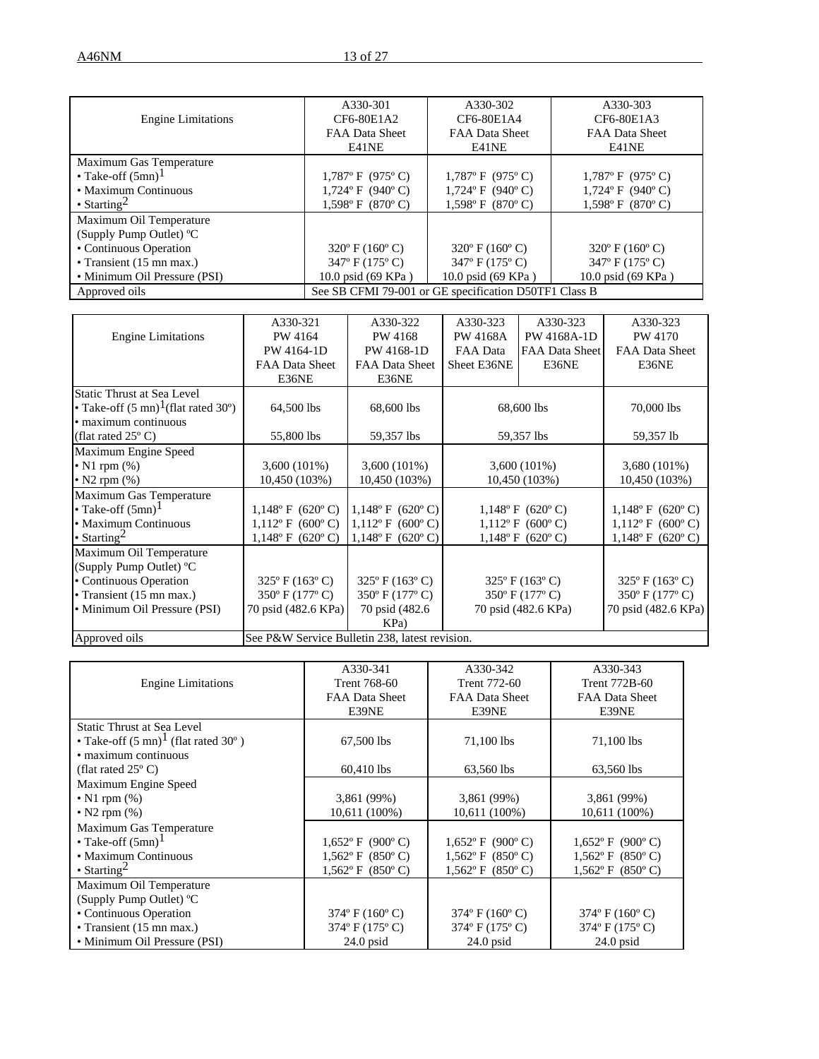|                                   | A330-301                           | A330-302                                              | A330-303                           |
|-----------------------------------|------------------------------------|-------------------------------------------------------|------------------------------------|
| <b>Engine Limitations</b>         | CF6-80E1A2                         | CF6-80E1A4                                            | CF6-80E1A3                         |
|                                   | FAA Data Sheet                     | <b>FAA Data Sheet</b>                                 | FAA Data Sheet                     |
|                                   | E41NE                              | E41NE                                                 | E41NE                              |
| Maximum Gas Temperature           |                                    |                                                       |                                    |
| • Take-off $(5mn)^1$              | $1,787$ °F (975°C)                 | $1,787$ °F (975°C)                                    | $1,787$ °F (975°C)                 |
| • Maximum Continuous              | $1,724$ °F (940°C)                 | $1,724$ °F (940°C)                                    | $1,724$ °F (940°C)                 |
| • Starting <sup>2</sup>           | $1,598$ °F (870°C)                 | $1,598$ °F (870°C)                                    | $1,598$ ° F (870° C)               |
| Maximum Oil Temperature           |                                    |                                                       |                                    |
| (Supply Pump Outlet) $^{\circ}$ C |                                    |                                                       |                                    |
| • Continuous Operation            | $320^{\circ}$ F (160 $^{\circ}$ C) | $320^{\circ}$ F (160 $^{\circ}$ C)                    | $320^{\circ}$ F (160 $^{\circ}$ C) |
| • Transient (15 mn max.)          | $347^{\circ}$ F (175 $^{\circ}$ C) | $347^{\circ}$ F (175 $^{\circ}$ C)                    | $347^{\circ}$ F (175 $^{\circ}$ C) |
| • Minimum Oil Pressure (PSI)      | 10.0 psid (69 KPa)                 | 10.0 psid (69 KPa)                                    | 10.0 psid (69 KPa)                 |
| Approved oils                     |                                    | See SB CFMI 79-001 or GE specification D50TF1 Class B |                                    |

|                                                | A330-321                                       | A330-322                           | A330-323        | A330-323                           | A330-323                           |
|------------------------------------------------|------------------------------------------------|------------------------------------|-----------------|------------------------------------|------------------------------------|
| <b>Engine Limitations</b>                      | PW 4164                                        | PW 4168                            | <b>PW 4168A</b> | PW 4168A-1D                        | PW 4170                            |
|                                                | PW 4164-1D                                     | PW 4168-1D                         | FAA Data        | FAA Data Sheet                     | FAA Data Sheet                     |
|                                                | FAA Data Sheet                                 | FAA Data Sheet                     | Sheet E36NE     | E36NE                              | E36NE                              |
|                                                | E36NE                                          | E36NE                              |                 |                                    |                                    |
| Static Thrust at Sea Level                     |                                                |                                    |                 |                                    |                                    |
| • Take-off $(5 \text{ mn})^1$ (flat rated 30°) | 64,500 lbs                                     | 68,600 lbs                         |                 | 68,600 lbs                         | 70,000 lbs                         |
| • maximum continuous                           |                                                |                                    |                 |                                    |                                    |
| (flat rated $25^{\circ}$ C)                    | 55,800 lbs                                     | 59,357 lbs                         |                 | 59,357 lbs                         | 59,357 lb                          |
| Maximum Engine Speed                           |                                                |                                    |                 |                                    |                                    |
| • N1 rpm $(\%)$                                | $3,600(101\%)$                                 | $3,600(101\%)$                     |                 | $3,600(101\%)$                     | 3,680 (101%)                       |
| • N2 rpm $(\%)$                                | 10,450 (103%)                                  | 10,450 (103%)                      |                 | 10,450 (103%)                      | 10,450 (103%)                      |
| Maximum Gas Temperature                        |                                                |                                    |                 |                                    |                                    |
| • Take-off $(5mn)^1$                           | $1,148$ °F (620°C)                             | $1,148^{\circ}$ F (620°C)          |                 | $1,148$ °F (620°C)                 | $1,148^{\circ}$ F (620°C)          |
| • Maximum Continuous                           | $1,112$ °F (600°C)                             | $1,112^{\circ}$ F (600°C)          |                 | $1,112$ °F (600°C)                 | $1,112^{\circ}$ F (600°C)          |
| • Starting <sup>2</sup>                        | $1,148^{\circ}$ F (620°C)                      | $1,148^{\circ}$ F (620°C)          |                 | $1,148$ °F (620°C)                 | $1,148^{\circ}$ F (620°C)          |
| Maximum Oil Temperature                        |                                                |                                    |                 |                                    |                                    |
| (Supply Pump Outlet) °C                        |                                                |                                    |                 |                                    |                                    |
| • Continuous Operation                         | $325^{\circ}$ F (163 $^{\circ}$ C)             | $325^{\circ}$ F (163 $^{\circ}$ C) |                 | $325^{\circ}$ F (163 $^{\circ}$ C) | $325^{\circ}$ F (163 $^{\circ}$ C) |
| • Transient (15 mn max.)                       | 350° F (177° C)                                | 350° F (177° C)                    |                 | 350° F (177° C)                    | 350° F (177° C)                    |
| • Minimum Oil Pressure (PSI)                   | 70 psid (482.6 KPa)                            | 70 psid (482.6)                    |                 | 70 psid (482.6 KPa)                | 70 psid (482.6 KPa)                |
|                                                |                                                | KPa)                               |                 |                                    |                                    |
| Approved oils                                  | See P&W Service Bulletin 238, latest revision. |                                    |                 |                                    |                                    |

|                                                | A330-341                           | A330-342                           | A330-343                           |
|------------------------------------------------|------------------------------------|------------------------------------|------------------------------------|
| <b>Engine Limitations</b>                      | Trent 768-60                       | Trent 772-60                       | Trent 772B-60                      |
|                                                | FAA Data Sheet                     | FAA Data Sheet                     | FAA Data Sheet                     |
|                                                | E39NE                              | E39NE                              | E39NE                              |
| <b>Static Thrust at Sea Level</b>              |                                    |                                    |                                    |
| • Take-off $(5 \text{ mn})^1$ (flat rated 30°) | 67,500 lbs                         | 71,100 lbs                         | 71,100 lbs                         |
| • maximum continuous                           |                                    |                                    |                                    |
| (flat rated $25^{\circ}$ C)                    | 60,410 lbs                         | 63,560 lbs                         | 63,560 lbs                         |
| Maximum Engine Speed                           |                                    |                                    |                                    |
| $\bullet$ N1 rpm $(\%)$                        | 3,861 (99%)                        | 3,861 (99%)                        | 3,861 (99%)                        |
| • N2 rpm $(\%)$                                | 10,611 (100%)                      | 10,611 (100%)                      | 10,611 (100%)                      |
| Maximum Gas Temperature                        |                                    |                                    |                                    |
| • Take-off $(5mn)^1$                           | $1,652$ °F (900°C)                 | $1,652$ °F (900°C)                 | $1,652$ °F (900°C)                 |
| • Maximum Continuous                           | $1,562$ °F (850°C)                 | $1,562$ °F (850°C)                 | $1,562$ °F (850°C)                 |
| • Starting <sup>2</sup>                        | $1,562$ °F (850°C)                 | $1,562$ °F (850°C)                 | $1,562$ °F (850°C)                 |
| Maximum Oil Temperature                        |                                    |                                    |                                    |
| (Supply Pump Outlet) °C                        |                                    |                                    |                                    |
| • Continuous Operation                         | $374^{\circ}$ F (160 $^{\circ}$ C) | $374^{\circ}$ F (160 $^{\circ}$ C) | $374^{\circ}$ F (160 $^{\circ}$ C) |
| • Transient $(15 \text{ mn max.})$             | $374^{\circ}$ F (175 $^{\circ}$ C) | $374^{\circ}$ F (175 $^{\circ}$ C) | $374^{\circ}$ F (175 $^{\circ}$ C) |
| • Minimum Oil Pressure (PSI)                   | $24.0$ psid                        | $24.0$ psid                        | $24.0$ psid                        |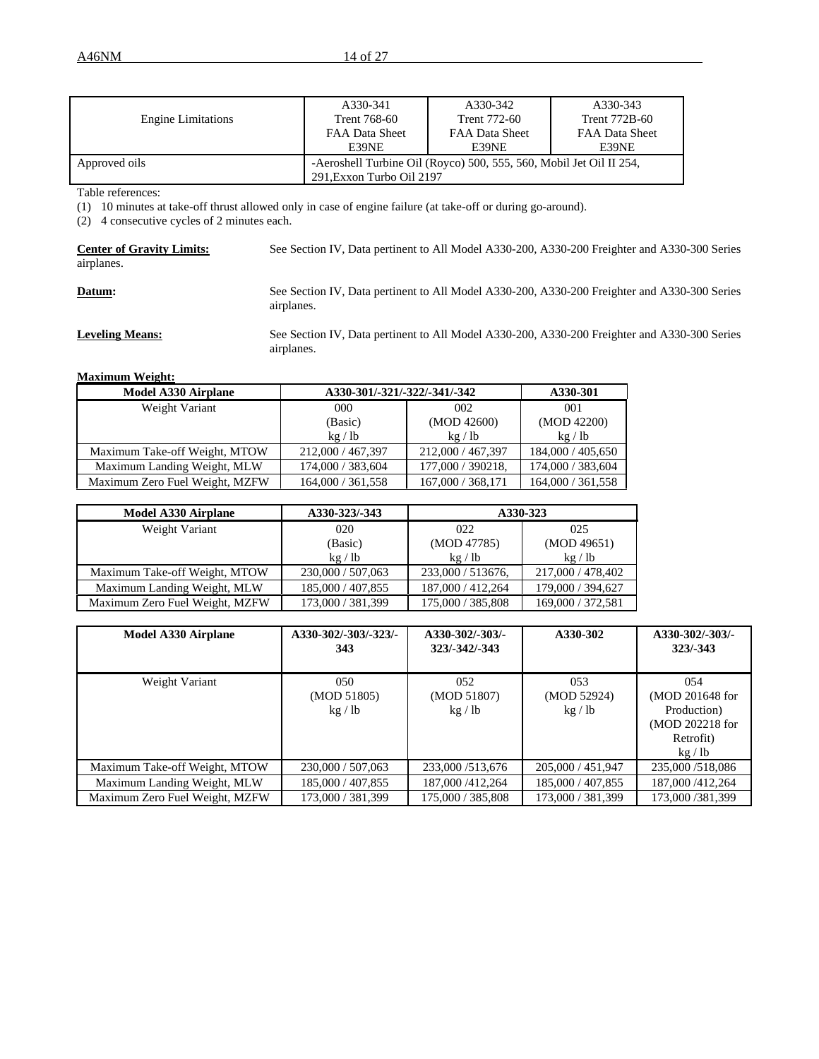|                           | A330-341                                                            | A330-342              | A330-343              |
|---------------------------|---------------------------------------------------------------------|-----------------------|-----------------------|
| <b>Engine Limitations</b> | Trent 768-60                                                        | Trent 772-60          | Trent 772B-60         |
|                           | <b>FAA Data Sheet</b>                                               | <b>FAA Data Sheet</b> | <b>FAA Data Sheet</b> |
|                           | E39NE                                                               | E39NE                 | E39NE                 |
| Approved oils             | -Aeroshell Turbine Oil (Royco) 500, 555, 560, Mobil Jet Oil II 254, |                       |                       |
|                           | 291. Exxon Turbo Oil 2197                                           |                       |                       |

Table references:

(1) 10 minutes at take-off thrust allowed only in case of engine failure (at take-off or during go-around).

(2) 4 consecutive cycles of 2 minutes each.

| <b>Center of Gravity Limits:</b><br>airplanes. | See Section IV, Data pertinent to All Model A330-200, A330-200 Freighter and A330-300 Series               |
|------------------------------------------------|------------------------------------------------------------------------------------------------------------|
| Datum:                                         | See Section IV, Data pertinent to All Model A330-200, A330-200 Freighter and A330-300 Series<br>airplanes. |

**Leveling Means:** See Section IV, Data pertinent to All Model A330-200, A330-200 Freighter and A330-300 Series airplanes.

**Maximum Weight:**

| <b>Model A330 Airplane</b>     | A330-301/-321/-322/-341/-342 |                   | A330-301          |
|--------------------------------|------------------------------|-------------------|-------------------|
| Weight Variant                 | 000                          | 002               | 001               |
|                                | (Basic)                      | (MOD 42600)       | (MOD 42200)       |
|                                | kg / lb                      | kg / lb           | kg/lb             |
| Maximum Take-off Weight, MTOW  | 212,000 / 467,397            | 212,000 / 467,397 | 184,000 / 405,650 |
| Maximum Landing Weight, MLW    | 174,000 / 383,604            | 177,000 / 390218, | 174,000 / 383,604 |
| Maximum Zero Fuel Weight, MZFW | 164,000 / 361,558            | 167,000 / 368,171 | 164,000 / 361,558 |

| <b>Model A330 Airplane</b>     | A330-323/-343     |                   | A330-323          |
|--------------------------------|-------------------|-------------------|-------------------|
| Weight Variant                 | 020               | 022               | 025               |
|                                | (Basic)           | (MOD 47785)       | (MOD 49651)       |
|                                | kg / lb           | kg / lb           | kg / lb           |
| Maximum Take-off Weight, MTOW  | 230,000 / 507,063 | 233,000 / 513676, | 217,000 / 478,402 |
| Maximum Landing Weight, MLW    | 185,000 / 407,855 | 187,000 / 412,264 | 179,000 / 394,627 |
| Maximum Zero Fuel Weight, MZFW | 173,000 / 381,399 | 175,000 / 385,808 | 169,000 / 372,581 |

| <b>Model A330 Airplane</b>     | A330-302/-303/-323/-<br>343 | A330-302/-303/-<br>323/-342/-343 | A330-302                    | A330-302/-303/-<br>$323/-343$                                                  |
|--------------------------------|-----------------------------|----------------------------------|-----------------------------|--------------------------------------------------------------------------------|
| Weight Variant                 | 050<br>(MOD 51805)<br>kg/lb | 052<br>(MOD 51807)<br>kg / lb    | 053<br>(MOD 52924)<br>kg/lb | 054<br>(MOD 201648 for<br>Production)<br>(MOD 202218 for<br>Retrofit)<br>kg/lb |
| Maximum Take-off Weight, MTOW  | 230,000 / 507,063           | 233,000/513,676                  | 205,000 / 451,947           | 235,000/518,086                                                                |
| Maximum Landing Weight, MLW    | 185,000 / 407,855           | 187,000 / 412,264                | 185,000 / 407,855           | 187,000 / 412,264                                                              |
| Maximum Zero Fuel Weight, MZFW | 173,000 / 381,399           | 175,000 / 385,808                | 173,000 / 381,399           | 173,000/381,399                                                                |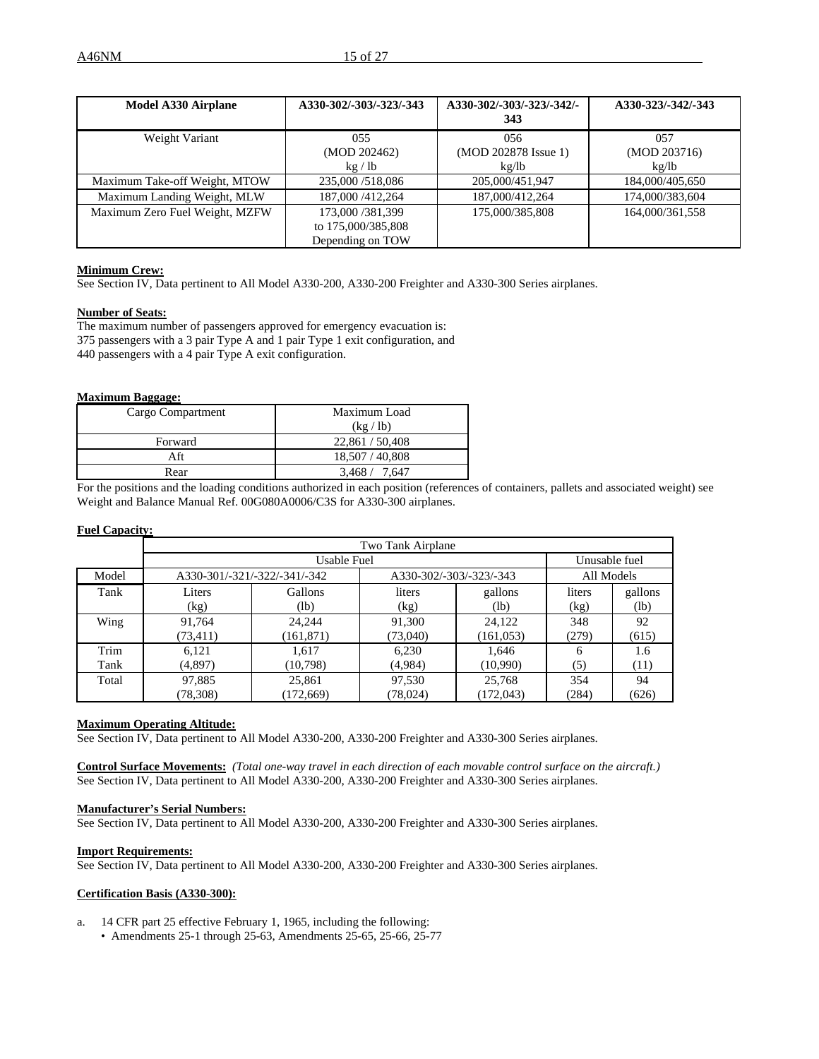| <b>Model A330 Airplane</b>     | A330-302/-303/-323/-343 | A330-302/-303/-323/-342/- | A330-323/-342/-343 |
|--------------------------------|-------------------------|---------------------------|--------------------|
|                                |                         | 343                       |                    |
| Weight Variant                 | 055                     | 056                       | 057                |
|                                | (MOD 202462)            | (MOD 202878 Issue 1)      | (MOD 203716)       |
|                                | kg/lb                   | kg/lb                     | kg/lb              |
| Maximum Take-off Weight, MTOW  | 235,000/518,086         | 205,000/451,947           | 184,000/405,650    |
| Maximum Landing Weight, MLW    | 187,000 / 412,264       | 187,000/412,264           | 174,000/383,604    |
| Maximum Zero Fuel Weight, MZFW | 173,000/381,399         | 175,000/385,808           | 164,000/361,558    |
|                                | to 175,000/385,808      |                           |                    |
|                                | Depending on TOW        |                           |                    |

# **Minimum Crew:**

See Section IV, Data pertinent to All Model A330-200, A330-200 Freighter and A330-300 Series airplanes.

#### **Number of Seats:**

The maximum number of passengers approved for emergency evacuation is: 375 passengers with a 3 pair Type A and 1 pair Type 1 exit configuration, and 440 passengers with a 4 pair Type A exit configuration.

#### **Maximum Baggage:**

| Cargo Compartment | Maximum Load    |
|-------------------|-----------------|
|                   | (kg / lb)       |
| Forward           | 22,861 / 50,408 |
| Aft               | 18,507 / 40,808 |
| Rear              | 3.468/<br>7.647 |

For the positions and the loading conditions authorized in each position (references of containers, pallets and associated weight) see Weight and Balance Manual Ref. 00G080A0006/C3S for A330-300 airplanes.

#### **Fuel Capacity:**

|       | Two Tank Airplane |                              |                         |            |               |         |  |
|-------|-------------------|------------------------------|-------------------------|------------|---------------|---------|--|
|       |                   | Usable Fuel                  |                         |            | Unusable fuel |         |  |
| Model |                   | A330-301/-321/-322/-341/-342 | A330-302/-303/-323/-343 |            | All Models    |         |  |
| Tank  | Liters            | Gallons                      | liters                  | gallons    | liters        | gallons |  |
|       | (kg)              | (lb)                         | (kg)                    | (lb)       | (kg)          | (lb)    |  |
| Wing  | 91,764            | 24,244                       | 91,300                  | 24,122     | 348           | 92      |  |
|       | (73, 411)         | (161, 871)                   | (73,040)                | (161, 053) | (279)         | (615)   |  |
| Trim  | 6,121             | 1,617                        | 6,230                   | 1,646      | 6             | 1.6     |  |
| Tank  | (4,897)           | (10,798)                     | (4,984)                 | (10,990)   | (5)           | (11)    |  |
| Total | 97,885            | 25,861                       | 97,530                  | 25,768     | 354           | 94      |  |
|       | (78, 308)         | (172, 669)                   | (78,024)                | (172, 043) | (284)         | (626)   |  |

## **Maximum Operating Altitude:**

See Section IV, Data pertinent to All Model A330-200, A330-200 Freighter and A330-300 Series airplanes.

**Control Surface Movements:** *(Total one-way travel in each direction of each movable control surface on the aircraft.)* See Section IV, Data pertinent to All Model A330-200, A330-200 Freighter and A330-300 Series airplanes.

#### **Manufacturer's Serial Numbers:**

See Section IV, Data pertinent to All Model A330-200, A330-200 Freighter and A330-300 Series airplanes.

#### **Import Requirements:**

See Section IV, Data pertinent to All Model A330-200, A330-200 Freighter and A330-300 Series airplanes.

#### **Certification Basis (A330-300):**

- a. 14 CFR part 25 effective February 1, 1965, including the following:
	- Amendments 25-1 through 25-63, Amendments 25-65, 25-66, 25-77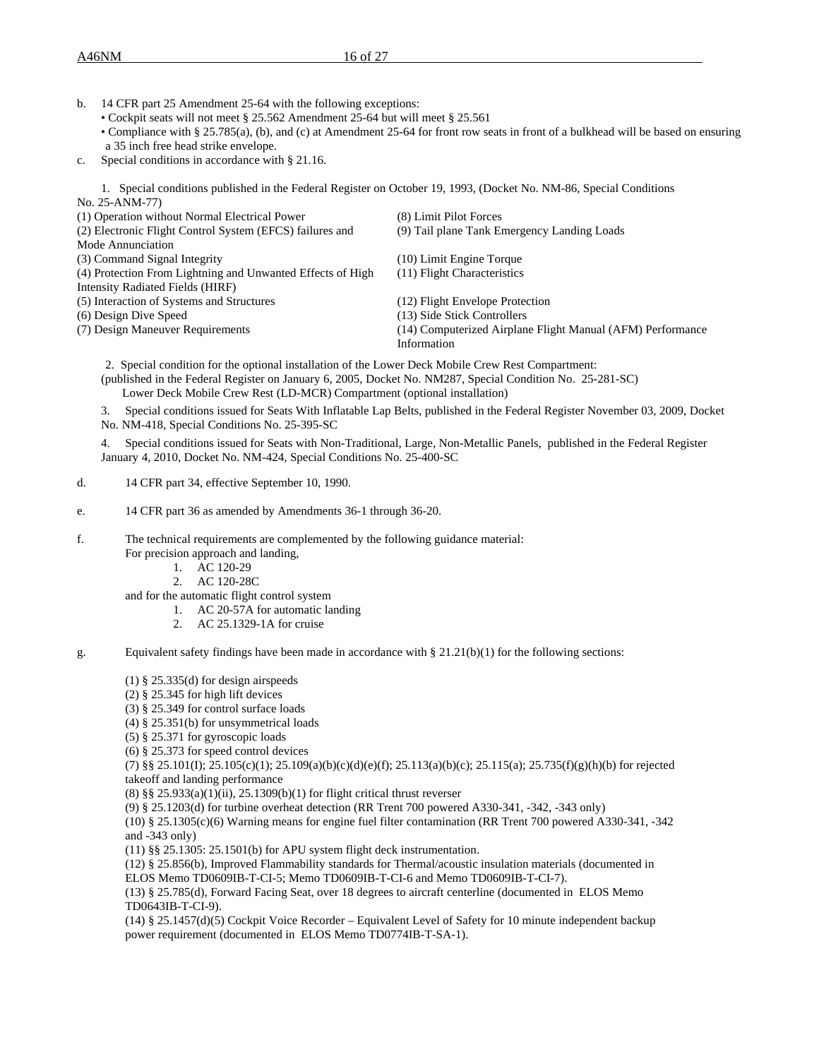A46NM 16 of 27

- b. 14 CFR part 25 Amendment 25-64 with the following exceptions:
	- Cockpit seats will not meet § 25.562 Amendment 25-64 but will meet § 25.561
	- Compliance with § 25.785(a), (b), and (c) at Amendment 25-64 for front row seats in front of a bulkhead will be based on ensuring a 35 inch free head strike envelope.
- c. Special conditions in accordance with § 21.16.

1. Special conditions published in the Federal Register on October 19, 1993, (Docket No. NM-86, Special Conditions No. 25-ANM-77)

| (1) Operation without Normal Electrical Power              | (8) Limit Pilot Forces                                     |
|------------------------------------------------------------|------------------------------------------------------------|
| (2) Electronic Flight Control System (EFCS) failures and   | (9) Tail plane Tank Emergency Landing Loads                |
| Mode Annunciation                                          |                                                            |
| (3) Command Signal Integrity                               | (10) Limit Engine Torque                                   |
| (4) Protection From Lightning and Unwanted Effects of High | (11) Flight Characteristics                                |
| Intensity Radiated Fields (HIRF)                           |                                                            |
| (5) Interaction of Systems and Structures                  | (12) Flight Envelope Protection                            |
| (6) Design Dive Speed                                      | (13) Side Stick Controllers                                |
| (7) Design Maneuver Requirements                           | (14) Computerized Airplane Flight Manual (AFM) Performance |
|                                                            | Information                                                |
|                                                            |                                                            |

2. Special condition for the optional installation of the Lower Deck Mobile Crew Rest Compartment: (published in the Federal Register on January 6, 2005, Docket No. NM287, Special Condition No. 25-281-SC) Lower Deck Mobile Crew Rest (LD-MCR) Compartment (optional installation)

3. Special conditions issued for Seats With Inflatable Lap Belts, published in the Federal Register November 03, 2009, Docket No. NM-418, Special Conditions No. 25-395-SC

4. Special conditions issued for Seats with Non-Traditional, Large, Non-Metallic Panels, published in the Federal Register January 4, 2010, Docket No. NM-424, Special Conditions No. 25-400-SC

- d. 14 CFR part 34, effective September 10, 1990.
- e. 14 CFR part 36 as amended by Amendments 36-1 through 36-20.
- f. The technical requirements are complemented by the following guidance material:
	- For precision approach and landing,
		- 1. AC 120-29
		- 2. AC 120-28C

and for the automatic flight control system

- 1. AC 20-57A for automatic landing
- 2. AC 25.1329-1A for cruise
- g. Equivalent safety findings have been made in accordance with § 21.21(b)(1) for the following sections:
	- (1)  $§$  25.335(d) for design airspeeds
	- (2) § 25.345 for high lift devices
	- (3) § 25.349 for control surface loads
	- (4) § 25.351(b) for unsymmetrical loads
	- (5) § 25.371 for gyroscopic loads
	- (6) § 25.373 for speed control devices

(7) §§ 25.101(I); 25.105(c)(1); 25.109(a)(b)(c)(d)(e)(f); 25.113(a)(b)(c); 25.115(a); 25.735(f)(g)(h)(b) for rejected takeoff and landing performance

(8) §§ 25.933(a)(1)(ii), 25.1309(b)(1) for flight critical thrust reverser

(9) § 25.1203(d) for turbine overheat detection (RR Trent 700 powered A330-341, -342, -343 only)

(10) § 25.1305(c)(6) Warning means for engine fuel filter contamination (RR Trent 700 powered A330-341, -342 and -343 only)

(11) §§ 25.1305: 25.1501(b) for APU system flight deck instrumentation.

(12) § 25.856(b), Improved Flammability standards for Thermal/acoustic insulation materials (documented in ELOS Memo TD0609IB-T-CI-5; Memo TD0609IB-T-CI-6 and Memo TD0609IB-T-CI-7).

(13) § 25.785(d), Forward Facing Seat, over 18 degrees to aircraft centerline (documented in ELOS Memo TD0643IB-T-CI-9).

(14) § 25.1457(d)(5) Cockpit Voice Recorder – Equivalent Level of Safety for 10 minute independent backup power requirement (documented in ELOS Memo TD0774IB-T-SA-1).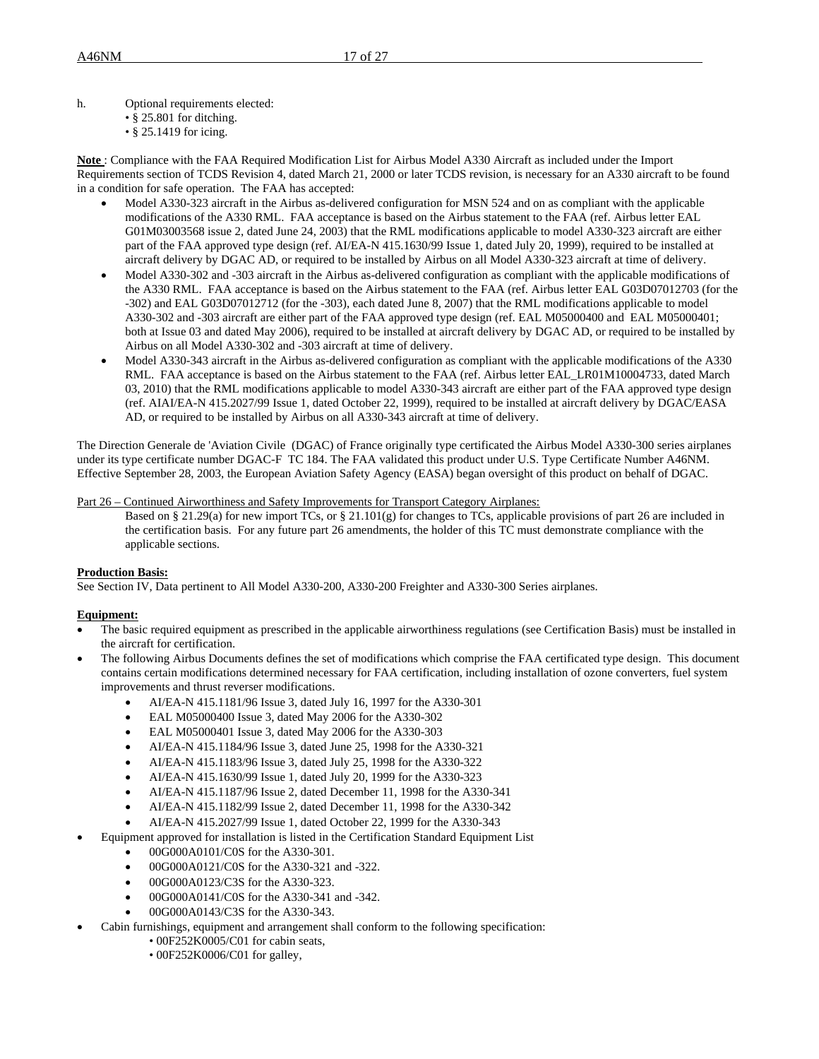h. Optional requirements elected:

- § 25.801 for ditching.
- § 25.1419 for icing.

**Note** : Compliance with the FAA Required Modification List for Airbus Model A330 Aircraft as included under the Import Requirements section of TCDS Revision 4, dated March 21, 2000 or later TCDS revision, is necessary for an A330 aircraft to be found in a condition for safe operation. The FAA has accepted:

- Model A330-323 aircraft in the Airbus as-delivered configuration for MSN 524 and on as compliant with the applicable modifications of the A330 RML. FAA acceptance is based on the Airbus statement to the FAA (ref. Airbus letter EAL G01M03003568 issue 2, dated June 24, 2003) that the RML modifications applicable to model A330-323 aircraft are either part of the FAA approved type design (ref. AI/EA-N 415.1630/99 Issue 1, dated July 20, 1999), required to be installed at aircraft delivery by DGAC AD, or required to be installed by Airbus on all Model A330-323 aircraft at time of delivery.
- Model A330-302 and -303 aircraft in the Airbus as-delivered configuration as compliant with the applicable modifications of the A330 RML. FAA acceptance is based on the Airbus statement to the FAA (ref. Airbus letter EAL G03D07012703 (for the -302) and EAL G03D07012712 (for the -303), each dated June 8, 2007) that the RML modifications applicable to model A330-302 and -303 aircraft are either part of the FAA approved type design (ref. EAL M05000400 and EAL M05000401; both at Issue 03 and dated May 2006), required to be installed at aircraft delivery by DGAC AD, or required to be installed by Airbus on all Model A330-302 and -303 aircraft at time of delivery.
- Model A330-343 aircraft in the Airbus as-delivered configuration as compliant with the applicable modifications of the A330 RML. FAA acceptance is based on the Airbus statement to the FAA (ref. Airbus letter EAL\_LR01M10004733, dated March 03, 2010) that the RML modifications applicable to model A330-343 aircraft are either part of the FAA approved type design (ref. AIAI/EA-N 415.2027/99 Issue 1, dated October 22, 1999), required to be installed at aircraft delivery by DGAC/EASA AD, or required to be installed by Airbus on all A330-343 aircraft at time of delivery.

The Direction Generale de 'Aviation Civile (DGAC) of France originally type certificated the Airbus Model A330-300 series airplanes under its type certificate number DGAC-F TC 184. The FAA validated this product under U.S. Type Certificate Number A46NM. Effective September 28, 2003, the European Aviation Safety Agency (EASA) began oversight of this product on behalf of DGAC.

Part 26 – Continued Airworthiness and Safety Improvements for Transport Category Airplanes:

Based on § 21.29(a) for new import TCs, or § 21.101(g) for changes to TCs, applicable provisions of part 26 are included in the certification basis. For any future part 26 amendments, the holder of this TC must demonstrate compliance with the applicable sections.

# **Production Basis:**

See Section IV, Data pertinent to All Model A330-200, A330-200 Freighter and A330-300 Series airplanes.

# **Equipment:**

- The basic required equipment as prescribed in the applicable airworthiness regulations (see Certification Basis) must be installed in the aircraft for certification.
- The following Airbus Documents defines the set of modifications which comprise the FAA certificated type design. This document contains certain modifications determined necessary for FAA certification, including installation of ozone converters, fuel system improvements and thrust reverser modifications.
	- AI/EA-N 415.1181/96 Issue 3, dated July 16, 1997 for the A330-301
	- EAL M05000400 Issue 3, dated May 2006 for the A330-302
	- EAL M05000401 Issue 3, dated May 2006 for the A330-303
	- AI/EA-N 415.1184/96 Issue 3, dated June 25, 1998 for the A330-321
	- AI/EA-N 415.1183/96 Issue 3, dated July 25, 1998 for the A330-322
	- AI/EA-N 415.1630/99 Issue 1, dated July 20, 1999 for the A330-323
	- AI/EA-N 415.1187/96 Issue 2, dated December 11, 1998 for the A330-341
	- AI/EA-N 415.1182/99 Issue 2, dated December 11, 1998 for the A330-342
	- AI/EA-N 415.2027/99 Issue 1, dated October 22, 1999 for the A330-343
	- Equipment approved for installation is listed in the Certification Standard Equipment List
	- 00G000A0101/C0S for the A330-301.
		- 00G000A0121/C0S for the A330-321 and -322.
		- 00G000A0123/C3S for the A330-323.
		- 00G000A0141/C0S for the A330-341 and -342.
		- 00G000A0143/C3S for the A330-343.
- Cabin furnishings, equipment and arrangement shall conform to the following specification:
	- 00F252K0005/C01 for cabin seats,
	- 00F252K0006/C01 for galley,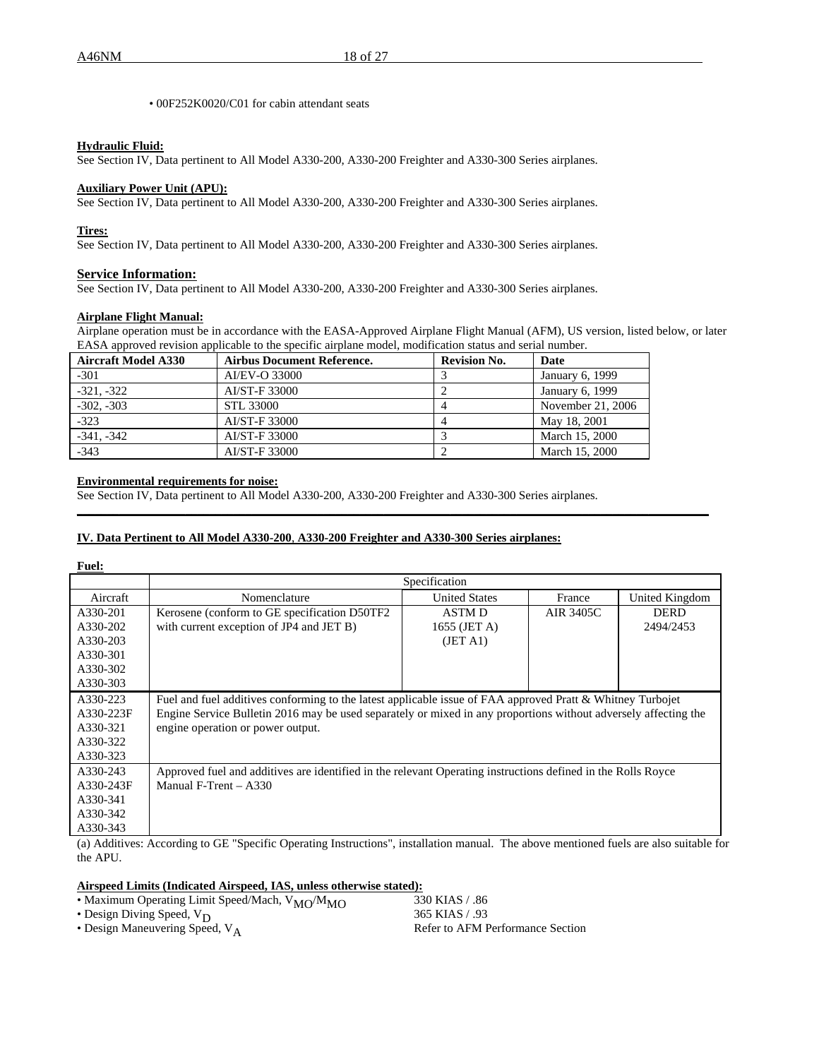• 00F252K0020/C01 for cabin attendant seats

#### **Hydraulic Fluid:**

See Section IV, Data pertinent to All Model A330-200, A330-200 Freighter and A330-300 Series airplanes.

# **Auxiliary Power Unit (APU):**

See Section IV, Data pertinent to All Model A330-200, A330-200 Freighter and A330-300 Series airplanes.

#### **Tires:**

See Section IV, Data pertinent to All Model A330-200, A330-200 Freighter and A330-300 Series airplanes.

# **Service Information:**

See Section IV, Data pertinent to All Model A330-200, A330-200 Freighter and A330-300 Series airplanes.

# **Airplane Flight Manual:**

Airplane operation must be in accordance with the EASA-Approved Airplane Flight Manual (AFM), US version, listed below, or later EASA approved revision applicable to the specific airplane model, modification status and serial number.

| <b>Aircraft Model A330</b> | <b>Airbus Document Reference.</b> | <b>Revision No.</b> | Date              |
|----------------------------|-----------------------------------|---------------------|-------------------|
| $-301$                     | AI/EV-O 33000                     |                     | January 6, 1999   |
| $-321. -322$               | AI/ST-F 33000                     |                     | January 6, 1999   |
| $-302, -303$               | <b>STL 33000</b>                  |                     | November 21, 2006 |
| $-323$                     | AI/ST-F 33000                     |                     | May 18, 2001      |
| $-341. -342$               | AI/ST-F 33000                     |                     | March 15, 2000    |
| $-343$                     | AI/ST-F 33000                     |                     | March 15, 2000    |

#### **Environmental requirements for noise:**

See Section IV, Data pertinent to All Model A330-200, A330-200 Freighter and A330-300 Series airplanes.

# **IV. Data Pertinent to All Model A330-200**, **A330-200 Freighter and A330-300 Series airplanes:**

| <b>Fuel:</b> |                                                                                                                 |                      |           |                |  |  |  |  |
|--------------|-----------------------------------------------------------------------------------------------------------------|----------------------|-----------|----------------|--|--|--|--|
|              | Specification                                                                                                   |                      |           |                |  |  |  |  |
| Aircraft     | Nomenclature                                                                                                    | <b>United States</b> | France    | United Kingdom |  |  |  |  |
| A330-201     | Kerosene (conform to GE specification D50TF2)                                                                   | <b>ASTMD</b>         | AIR 3405C | <b>DERD</b>    |  |  |  |  |
| A330-202     | with current exception of JP4 and JET B)                                                                        | 1655 (JET A)         |           | 2494/2453      |  |  |  |  |
| A330-203     |                                                                                                                 | (JET A1)             |           |                |  |  |  |  |
| A330-301     |                                                                                                                 |                      |           |                |  |  |  |  |
| A330-302     |                                                                                                                 |                      |           |                |  |  |  |  |
| A330-303     |                                                                                                                 |                      |           |                |  |  |  |  |
| A330-223     | Fuel and fuel additives conforming to the latest applicable issue of FAA approved Pratt & Whitney Turbojet      |                      |           |                |  |  |  |  |
| A330-223F    | Engine Service Bulletin 2016 may be used separately or mixed in any proportions without adversely affecting the |                      |           |                |  |  |  |  |
| A330-321     | engine operation or power output.                                                                               |                      |           |                |  |  |  |  |
| A330-322     |                                                                                                                 |                      |           |                |  |  |  |  |
| A330-323     |                                                                                                                 |                      |           |                |  |  |  |  |
| A330-243     | Approved fuel and additives are identified in the relevant Operating instructions defined in the Rolls Royce    |                      |           |                |  |  |  |  |
| A330-243F    | Manual F-Trent $- A330$                                                                                         |                      |           |                |  |  |  |  |
| A330-341     |                                                                                                                 |                      |           |                |  |  |  |  |
| A330-342     |                                                                                                                 |                      |           |                |  |  |  |  |
| A330-343     |                                                                                                                 |                      |           |                |  |  |  |  |
|              |                                                                                                                 |                      |           |                |  |  |  |  |

**\_\_\_\_\_\_\_\_\_\_\_\_\_\_\_\_\_\_\_\_\_\_\_\_\_\_\_\_\_\_\_\_\_\_\_\_\_\_\_\_\_\_\_\_\_\_\_\_\_\_\_\_\_\_\_\_\_\_\_\_\_\_\_\_\_\_\_\_\_\_\_\_\_\_\_\_\_\_\_\_\_\_\_\_\_\_\_\_\_\_\_\_\_\_\_\_\_\_\_\_\_\_\_\_\_**

(a) Additives: According to GE "Specific Operating Instructions", installation manual. The above mentioned fuels are also suitable for the APU.

# **Airspeed Limits (Indicated Airspeed, IAS, unless otherwise stated):**

| • Maximum Operating Limit Speed/Mach, V <sub>MO</sub> /M <sub>MO</sub> | 330 KIAS / .86                   |
|------------------------------------------------------------------------|----------------------------------|
| • Design Diving Speed, $V_D$                                           | 365 KIAS / .93                   |
| • Design Maneuvering Speed, $V_A$                                      | Refer to AFM Performance Section |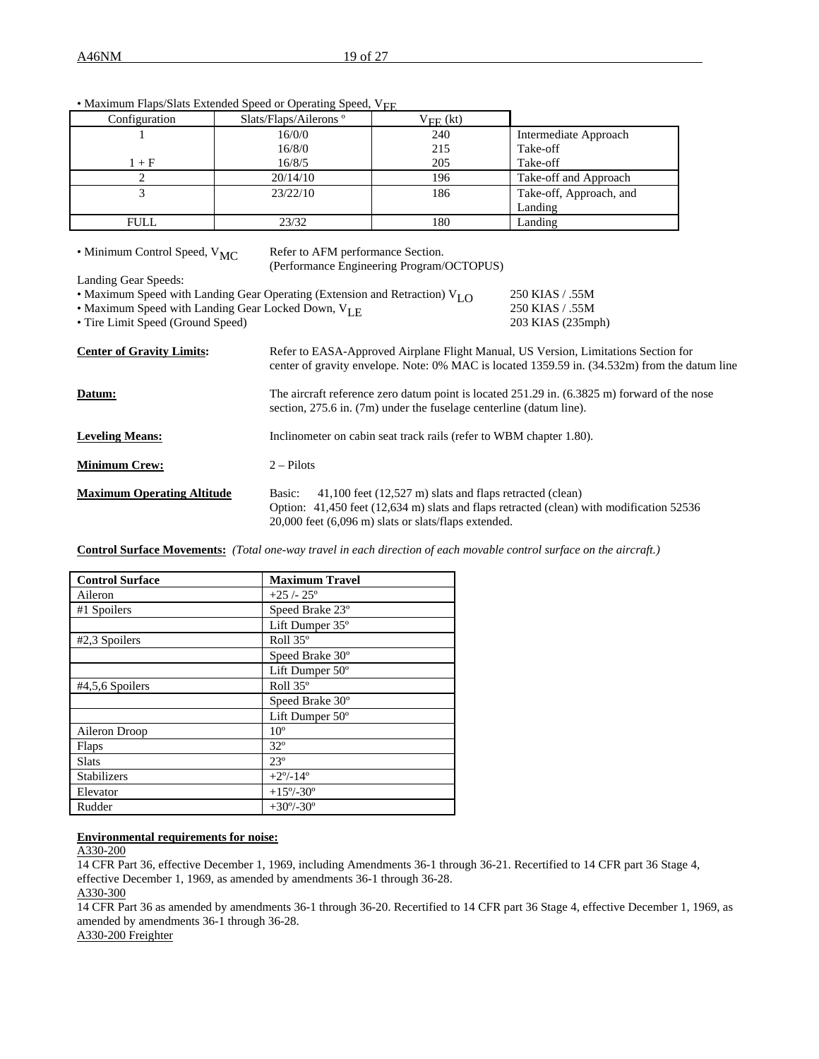| Configuration                                                                                                                                                                                                                                               | Slats/Flaps/Ailerons <sup>°</sup>                                                     | $V_{FE}$ (kt)                             |                         |  |  |
|-------------------------------------------------------------------------------------------------------------------------------------------------------------------------------------------------------------------------------------------------------------|---------------------------------------------------------------------------------------|-------------------------------------------|-------------------------|--|--|
|                                                                                                                                                                                                                                                             | 16/0/0                                                                                | 240                                       | Intermediate Approach   |  |  |
|                                                                                                                                                                                                                                                             | 16/8/0                                                                                | 215                                       | Take-off                |  |  |
| $1 + F$                                                                                                                                                                                                                                                     | 16/8/5                                                                                | 205                                       | Take-off                |  |  |
| 2                                                                                                                                                                                                                                                           | 20/14/10                                                                              | 196                                       | Take-off and Approach   |  |  |
| 3                                                                                                                                                                                                                                                           | 23/22/10                                                                              | 186                                       | Take-off, Approach, and |  |  |
|                                                                                                                                                                                                                                                             |                                                                                       |                                           | Landing                 |  |  |
| <b>FULL</b>                                                                                                                                                                                                                                                 | 23/32                                                                                 | 180                                       | Landing                 |  |  |
| • Minimum Control Speed, V <sub>MC</sub><br>Landing Gear Speeds:                                                                                                                                                                                            | Refer to AFM performance Section.                                                     | (Performance Engineering Program/OCTOPUS) |                         |  |  |
|                                                                                                                                                                                                                                                             | • Maximum Speed with Landing Gear Operating (Extension and Retraction) $V_{I,\Omega}$ |                                           | 250 KIAS / .55M         |  |  |
|                                                                                                                                                                                                                                                             | • Maximum Speed with Landing Gear Locked Down, V <sub>LE</sub>                        |                                           | 250 KIAS / .55M         |  |  |
| • Tire Limit Speed (Ground Speed)                                                                                                                                                                                                                           |                                                                                       |                                           | 203 KIAS (235mph)       |  |  |
| <b>Center of Gravity Limits:</b><br>Refer to EASA-Approved Airplane Flight Manual, US Version, Limitations Section for<br>center of gravity envelope. Note: 0% MAC is located 1359.59 in. (34.532m) from the datum line                                     |                                                                                       |                                           |                         |  |  |
| The aircraft reference zero datum point is located 251.29 in. (6.3825 m) forward of the nose<br>Datum:<br>section, 275.6 in. (7m) under the fuselage centerline (datum line).                                                                               |                                                                                       |                                           |                         |  |  |
| <b>Leveling Means:</b><br>Inclinometer on cabin seat track rails (refer to WBM chapter 1.80).                                                                                                                                                               |                                                                                       |                                           |                         |  |  |
| <b>Minimum Crew:</b><br>$2 - Pilots$                                                                                                                                                                                                                        |                                                                                       |                                           |                         |  |  |
| <b>Maximum Operating Altitude</b><br>41,100 feet (12,527 m) slats and flaps retracted (clean)<br>Basic:<br>Option: 41,450 feet (12,634 m) slats and flaps retracted (clean) with modification 52536<br>20,000 feet (6,096 m) slats or slats/flaps extended. |                                                                                       |                                           |                         |  |  |

• Maximum Flaps/Slats Extended Speed or Operating Speed, V<sub>FE</sub>

**Control Surface Movements:** *(Total one-way travel in each direction of each movable control surface on the aircraft.)*

| <b>Control Surface</b> | <b>Maximum Travel</b>     |
|------------------------|---------------------------|
| Aileron                | $+25/25$ °                |
| #1 Spoilers            | Speed Brake 23°           |
|                        | Lift Dumper 35°           |
| #2,3 Spoilers          | Roll 35°                  |
|                        | Speed Brake 30°           |
|                        | Lift Dumper $50^{\circ}$  |
| #4,5,6 Spoilers        | Roll 35°                  |
|                        | Speed Brake 30°           |
|                        | Lift Dumper 50°           |
| Aileron Droop          | 10 <sup>o</sup>           |
| Flaps                  | $32^{\circ}$              |
| <b>Slats</b>           | $23^{\circ}$              |
| Stabilizers            | $+2^{\circ}/-14^{\circ}$  |
| Elevator               | $+15^{\circ}/-30^{\circ}$ |
| Rudder                 | $+30^{\circ}/-30^{\circ}$ |

# **Environmental requirements for noise:**

A330-200

14 CFR Part 36, effective December 1, 1969, including Amendments 36-1 through 36-21. Recertified to 14 CFR part 36 Stage 4, effective December 1, 1969, as amended by amendments 36-1 through 36-28. A330-300

14 CFR Part 36 as amended by amendments 36-1 through 36-20. Recertified to 14 CFR part 36 Stage 4, effective December 1, 1969, as amended by amendments 36-1 through 36-28.

A330-200 Freighter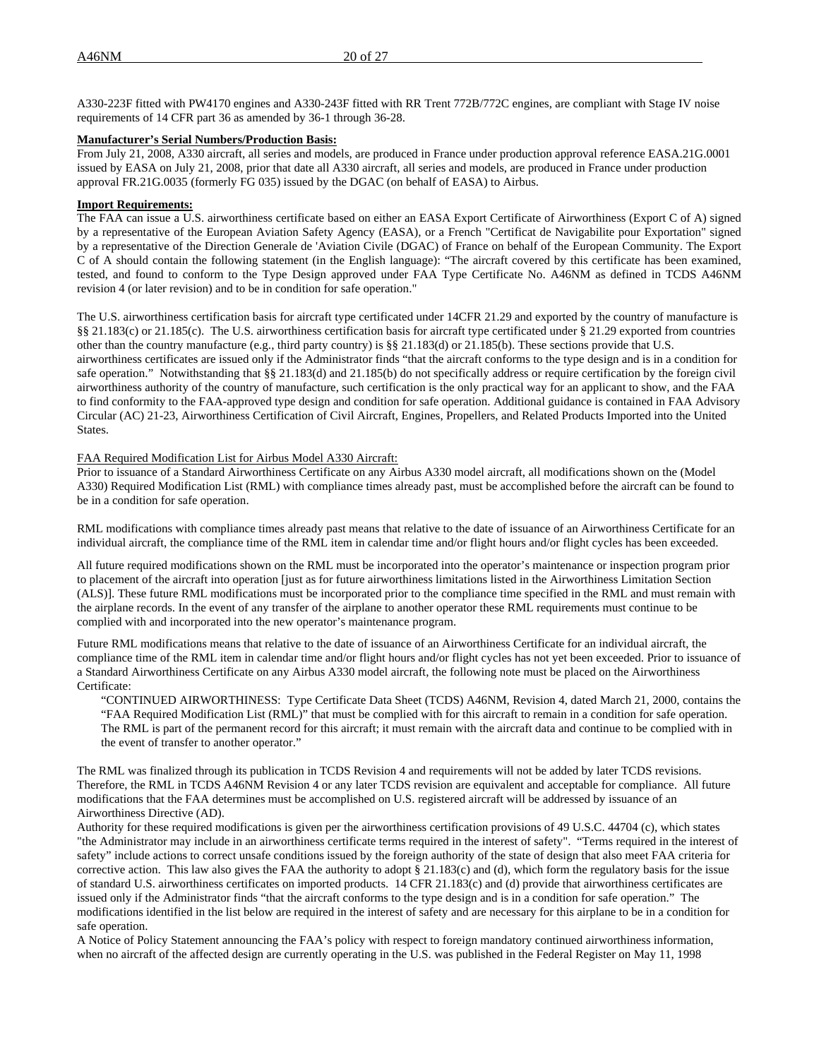A330-223F fitted with PW4170 engines and A330-243F fitted with RR Trent 772B/772C engines, are compliant with Stage IV noise requirements of 14 CFR part 36 as amended by 36-1 through 36-28.

#### **Manufacturer's Serial Numbers/Production Basis:**

From July 21, 2008, A330 aircraft, all series and models, are produced in France under production approval reference EASA.21G.0001 issued by EASA on July 21, 2008, prior that date all A330 aircraft, all series and models, are produced in France under production approval FR.21G.0035 (formerly FG 035) issued by the DGAC (on behalf of EASA) to Airbus.

#### **Import Requirements:**

The FAA can issue a U.S. airworthiness certificate based on either an EASA Export Certificate of Airworthiness (Export C of A) signed by a representative of the European Aviation Safety Agency (EASA), or a French "Certificat de Navigabilite pour Exportation" signed by a representative of the Direction Generale de 'Aviation Civile (DGAC) of France on behalf of the European Community. The Export C of A should contain the following statement (in the English language): "The aircraft covered by this certificate has been examined, tested, and found to conform to the Type Design approved under FAA Type Certificate No. A46NM as defined in TCDS A46NM revision 4 (or later revision) and to be in condition for safe operation."

The U.S. airworthiness certification basis for aircraft type certificated under 14CFR 21.29 and exported by the country of manufacture is §§ 21.183(c) or 21.185(c). The U.S. airworthiness certification basis for aircraft type certificated under § 21.29 exported from countries other than the country manufacture (e.g., third party country) is §§ 21.183(d) or 21.185(b). These sections provide that U.S. airworthiness certificates are issued only if the Administrator finds "that the aircraft conforms to the type design and is in a condition for safe operation." Notwithstanding that §§ 21.183(d) and 21.185(b) do not specifically address or require certification by the foreign civil airworthiness authority of the country of manufacture, such certification is the only practical way for an applicant to show, and the FAA to find conformity to the FAA-approved type design and condition for safe operation. Additional guidance is contained in FAA Advisory Circular (AC) 21-23, Airworthiness Certification of Civil Aircraft, Engines, Propellers, and Related Products Imported into the United States.

#### FAA Required Modification List for Airbus Model A330 Aircraft:

Prior to issuance of a Standard Airworthiness Certificate on any Airbus A330 model aircraft, all modifications shown on the (Model A330) Required Modification List (RML) with compliance times already past, must be accomplished before the aircraft can be found to be in a condition for safe operation.

RML modifications with compliance times already past means that relative to the date of issuance of an Airworthiness Certificate for an individual aircraft, the compliance time of the RML item in calendar time and/or flight hours and/or flight cycles has been exceeded.

All future required modifications shown on the RML must be incorporated into the operator's maintenance or inspection program prior to placement of the aircraft into operation [just as for future airworthiness limitations listed in the Airworthiness Limitation Section (ALS)]. These future RML modifications must be incorporated prior to the compliance time specified in the RML and must remain with the airplane records. In the event of any transfer of the airplane to another operator these RML requirements must continue to be complied with and incorporated into the new operator's maintenance program.

Future RML modifications means that relative to the date of issuance of an Airworthiness Certificate for an individual aircraft, the compliance time of the RML item in calendar time and/or flight hours and/or flight cycles has not yet been exceeded. Prior to issuance of a Standard Airworthiness Certificate on any Airbus A330 model aircraft, the following note must be placed on the Airworthiness Certificate:

"CONTINUED AIRWORTHINESS: Type Certificate Data Sheet (TCDS) A46NM, Revision 4, dated March 21, 2000, contains the "FAA Required Modification List (RML)" that must be complied with for this aircraft to remain in a condition for safe operation. The RML is part of the permanent record for this aircraft; it must remain with the aircraft data and continue to be complied with in the event of transfer to another operator."

The RML was finalized through its publication in TCDS Revision 4 and requirements will not be added by later TCDS revisions. Therefore, the RML in TCDS A46NM Revision 4 or any later TCDS revision are equivalent and acceptable for compliance. All future modifications that the FAA determines must be accomplished on U.S. registered aircraft will be addressed by issuance of an Airworthiness Directive (AD).

Authority for these required modifications is given per the airworthiness certification provisions of 49 U.S.C. 44704 (c), which states "the Administrator may include in an airworthiness certificate terms required in the interest of safety". "Terms required in the interest of safety" include actions to correct unsafe conditions issued by the foreign authority of the state of design that also meet FAA criteria for corrective action. This law also gives the FAA the authority to adopt § 21.183(c) and (d), which form the regulatory basis for the issue of standard U.S. airworthiness certificates on imported products. 14 CFR 21.183(c) and (d) provide that airworthiness certificates are issued only if the Administrator finds "that the aircraft conforms to the type design and is in a condition for safe operation." The modifications identified in the list below are required in the interest of safety and are necessary for this airplane to be in a condition for safe operation.

A Notice of Policy Statement announcing the FAA's policy with respect to foreign mandatory continued airworthiness information, when no aircraft of the affected design are currently operating in the U.S. was published in the Federal Register on May 11, 1998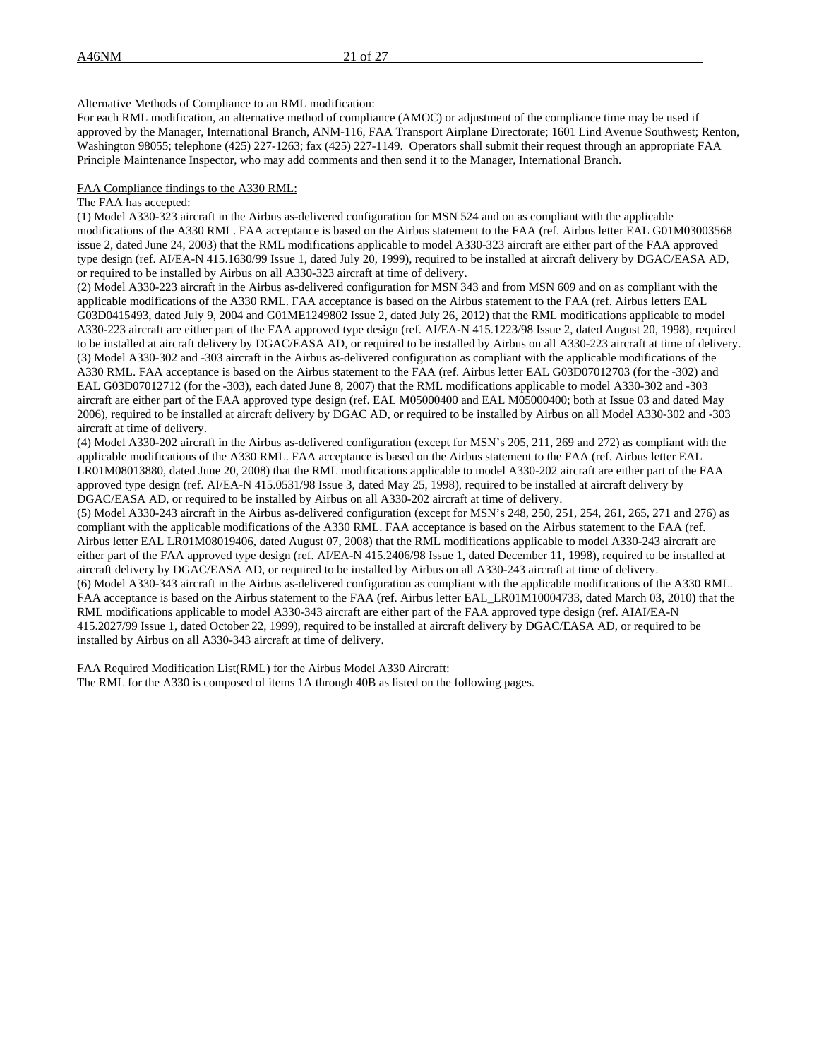# Alternative Methods of Compliance to an RML modification:

For each RML modification, an alternative method of compliance (AMOC) or adjustment of the compliance time may be used if approved by the Manager, International Branch, ANM-116, FAA Transport Airplane Directorate; 1601 Lind Avenue Southwest; Renton, Washington 98055; telephone (425) 227-1263; fax (425) 227-1149. Operators shall submit their request through an appropriate FAA Principle Maintenance Inspector, who may add comments and then send it to the Manager, International Branch.

#### FAA Compliance findings to the A330 RML:

The FAA has accepted:

(1) Model A330-323 aircraft in the Airbus as-delivered configuration for MSN 524 and on as compliant with the applicable modifications of the A330 RML. FAA acceptance is based on the Airbus statement to the FAA (ref. Airbus letter EAL G01M03003568 issue 2, dated June 24, 2003) that the RML modifications applicable to model A330-323 aircraft are either part of the FAA approved type design (ref. AI/EA-N 415.1630/99 Issue 1, dated July 20, 1999), required to be installed at aircraft delivery by DGAC/EASA AD, or required to be installed by Airbus on all A330-323 aircraft at time of delivery.

(2) Model A330-223 aircraft in the Airbus as-delivered configuration for MSN 343 and from MSN 609 and on as compliant with the applicable modifications of the A330 RML. FAA acceptance is based on the Airbus statement to the FAA (ref. Airbus letters EAL G03D0415493, dated July 9, 2004 and G01ME1249802 Issue 2, dated July 26, 2012) that the RML modifications applicable to model A330-223 aircraft are either part of the FAA approved type design (ref. AI/EA-N 415.1223/98 Issue 2, dated August 20, 1998), required to be installed at aircraft delivery by DGAC/EASA AD, or required to be installed by Airbus on all A330-223 aircraft at time of delivery. (3) Model A330-302 and -303 aircraft in the Airbus as-delivered configuration as compliant with the applicable modifications of the A330 RML. FAA acceptance is based on the Airbus statement to the FAA (ref. Airbus letter EAL G03D07012703 (for the -302) and EAL G03D07012712 (for the -303), each dated June 8, 2007) that the RML modifications applicable to model A330-302 and -303 aircraft are either part of the FAA approved type design (ref. EAL M05000400 and EAL M05000400; both at Issue 03 and dated May 2006), required to be installed at aircraft delivery by DGAC AD, or required to be installed by Airbus on all Model A330-302 and -303 aircraft at time of delivery.

(4) Model A330-202 aircraft in the Airbus as-delivered configuration (except for MSN's 205, 211, 269 and 272) as compliant with the applicable modifications of the A330 RML. FAA acceptance is based on the Airbus statement to the FAA (ref. Airbus letter EAL LR01M08013880, dated June 20, 2008) that the RML modifications applicable to model A330-202 aircraft are either part of the FAA approved type design (ref. AI/EA-N 415.0531/98 Issue 3, dated May 25, 1998), required to be installed at aircraft delivery by DGAC/EASA AD, or required to be installed by Airbus on all A330-202 aircraft at time of delivery.

(5) Model A330-243 aircraft in the Airbus as-delivered configuration (except for MSN's 248, 250, 251, 254, 261, 265, 271 and 276) as compliant with the applicable modifications of the A330 RML. FAA acceptance is based on the Airbus statement to the FAA (ref. Airbus letter EAL LR01M08019406, dated August 07, 2008) that the RML modifications applicable to model A330-243 aircraft are either part of the FAA approved type design (ref. AI/EA-N 415.2406/98 Issue 1, dated December 11, 1998), required to be installed at aircraft delivery by DGAC/EASA AD, or required to be installed by Airbus on all A330-243 aircraft at time of delivery. (6) Model A330-343 aircraft in the Airbus as-delivered configuration as compliant with the applicable modifications of the A330 RML. FAA acceptance is based on the Airbus statement to the FAA (ref. Airbus letter EAL\_LR01M10004733, dated March 03, 2010) that the RML modifications applicable to model A330-343 aircraft are either part of the FAA approved type design (ref. AIAI/EA-N 415.2027/99 Issue 1, dated October 22, 1999), required to be installed at aircraft delivery by DGAC/EASA AD, or required to be installed by Airbus on all A330-343 aircraft at time of delivery.

FAA Required Modification List(RML) for the Airbus Model A330 Aircraft:

The RML for the A330 is composed of items 1A through 40B as listed on the following pages.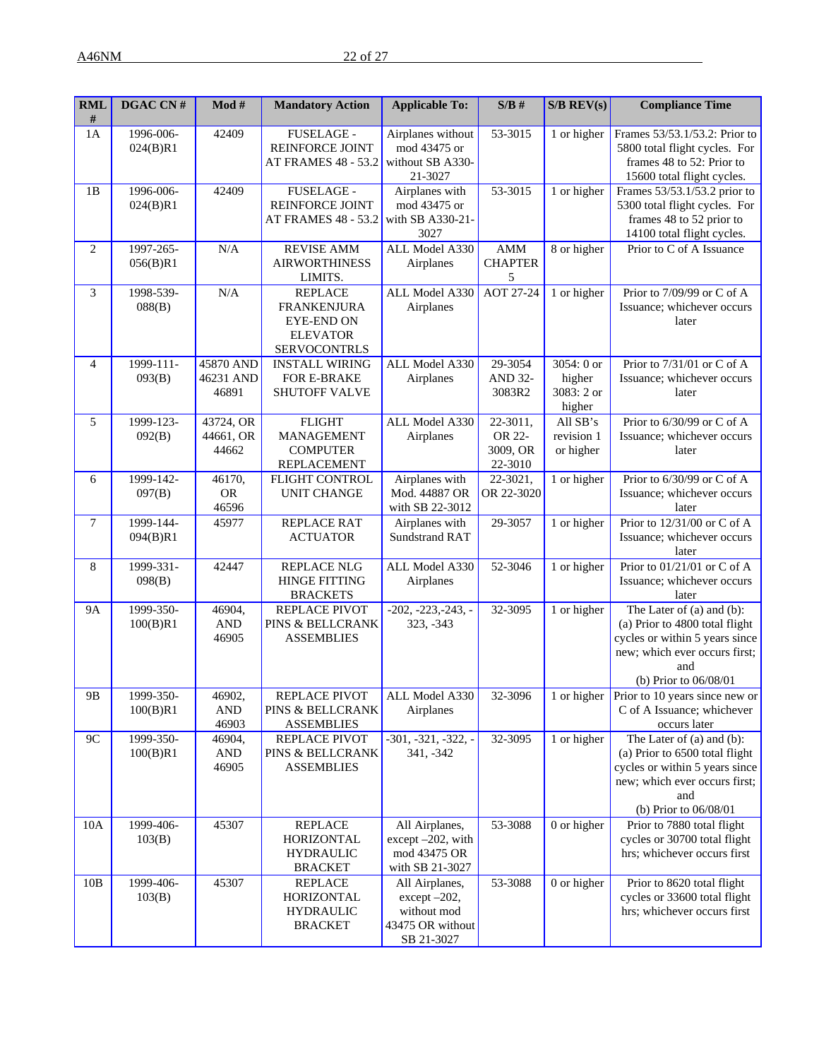| <b>RML</b><br># | DGAC CN#              | $\mathbf{Mod} \ \#$               | <b>Mandatory Action</b>                                                                             | <b>Applicable To:</b>                                                           | $S/B$ #                                   | $S/B$ REV(s)                                 | <b>Compliance Time</b>                                                                                                                                         |
|-----------------|-----------------------|-----------------------------------|-----------------------------------------------------------------------------------------------------|---------------------------------------------------------------------------------|-------------------------------------------|----------------------------------------------|----------------------------------------------------------------------------------------------------------------------------------------------------------------|
| 1A              | 1996-006-<br>024(B)R1 | 42409                             | FUSELAGE -<br>REINFORCE JOINT<br>AT FRAMES 48 - 53.2                                                | Airplanes without<br>mod 43475 or<br>without SB A330-<br>21-3027                | 53-3015                                   | 1 or higher                                  | Frames 53/53.1/53.2: Prior to<br>5800 total flight cycles. For<br>frames 48 to 52: Prior to<br>15600 total flight cycles.                                      |
| 1B              | 1996-006-<br>024(B)R1 | 42409                             | FUSELAGE -<br>REINFORCE JOINT<br>AT FRAMES 48 - 53.2                                                | Airplanes with<br>mod 43475 or<br>with SB A330-21-<br>3027                      | 53-3015                                   | 1 or higher                                  | Frames 53/53.1/53.2 prior to<br>5300 total flight cycles. For<br>frames 48 to 52 prior to<br>14100 total flight cycles.                                        |
| $\mathbf{2}$    | 1997-265-<br>056(B)R1 | N/A                               | <b>REVISE AMM</b><br><b>AIRWORTHINESS</b><br>LIMITS.                                                | ALL Model A330<br>Airplanes                                                     | AMM<br><b>CHAPTER</b><br>5                | 8 or higher                                  | Prior to C of A Issuance                                                                                                                                       |
| 3               | 1998-539-<br>088(B)   | N/A                               | <b>REPLACE</b><br><b>FRANKENJURA</b><br><b>EYE-END ON</b><br><b>ELEVATOR</b><br><b>SERVOCONTRLS</b> | ALL Model A330<br>Airplanes                                                     | <b>AOT 27-24</b>                          | 1 or higher                                  | Prior to 7/09/99 or C of A<br>Issuance; whichever occurs<br>later                                                                                              |
| 4               | 1999-111-<br>093(B)   | 45870 AND<br>46231 AND<br>46891   | <b>INSTALL WIRING</b><br>FOR E-BRAKE<br>SHUTOFF VALVE                                               | ALL Model A330<br>Airplanes                                                     | 29-3054<br><b>AND 32-</b><br>3083R2       | 3054: 0 or<br>higher<br>3083: 2 or<br>higher | Prior to 7/31/01 or C of A<br>Issuance; whichever occurs<br>later                                                                                              |
| 5               | 1999-123-<br>092(B)   | 43724, OR<br>44661, OR<br>44662   | <b>FLIGHT</b><br>MANAGEMENT<br><b>COMPUTER</b><br><b>REPLACEMENT</b>                                | ALL Model A330<br>Airplanes                                                     | 22-3011,<br>OR 22-<br>3009, OR<br>22-3010 | All SB's<br>revision 1<br>or higher          | Prior to 6/30/99 or C of A<br>Issuance; whichever occurs<br>later                                                                                              |
| 6               | 1999-142-<br>097(B)   | 46170,<br><b>OR</b><br>46596      | FLIGHT CONTROL<br><b>UNIT CHANGE</b>                                                                | Airplanes with<br>Mod. 44887 OR<br>with SB 22-3012                              | 22-3021,<br>OR 22-3020                    | 1 or higher                                  | Prior to 6/30/99 or C of A<br>Issuance; whichever occurs<br>later                                                                                              |
| 7               | 1999-144-<br>094(B)R1 | 45977                             | REPLACE RAT<br><b>ACTUATOR</b>                                                                      | Airplanes with<br><b>Sundstrand RAT</b>                                         | 29-3057                                   | 1 or higher                                  | Prior to 12/31/00 or C of A<br>Issuance; whichever occurs<br>later                                                                                             |
| 8               | 1999-331-<br>098(B)   | 42447                             | <b>REPLACE NLG</b><br><b>HINGE FITTING</b><br><b>BRACKETS</b>                                       | ALL Model A330<br>Airplanes                                                     | 52-3046                                   | 1 or higher                                  | Prior to 01/21/01 or C of A<br>Issuance; whichever occurs<br>later                                                                                             |
| <b>9A</b>       | 1999-350-<br>100(B)R1 | 46904,<br>$\mathbf{AND}$<br>46905 | REPLACE PIVOT<br>PINS & BELLCRANK<br><b>ASSEMBLIES</b>                                              | $-202, -223, -243, -$<br>323, -343                                              | 32-3095                                   | 1 or higher                                  | The Later of (a) and (b):<br>(a) Prior to 4800 total flight<br>cycles or within 5 years since<br>new; which ever occurs first;<br>and<br>(b) Prior to 06/08/01 |
| 9B              | 1999-350-<br>100(B)R1 | 46902,<br><b>AND</b><br>46903     | REPLACE PIVOT<br>PINS & BELLCRANK<br><b>ASSEMBLIES</b>                                              | ALL Model A330<br>Airplanes                                                     | 32-3096                                   | 1 or higher                                  | Prior to $10$ years since new or<br>C of A Issuance; whichever<br>occurs later                                                                                 |
| 9C              | 1999-350-<br>100(B)R1 | 46904,<br><b>AND</b><br>46905     | REPLACE PIVOT<br>PINS & BELLCRANK<br><b>ASSEMBLIES</b>                                              | $-301, -321, -322, -$<br>341, -342                                              | 32-3095                                   | 1 or higher                                  | The Later of (a) and (b):<br>(a) Prior to 6500 total flight<br>cycles or within 5 years since<br>new; which ever occurs first;<br>and<br>(b) Prior to 06/08/01 |
| 10A             | 1999-406-<br>103(B)   | 45307                             | <b>REPLACE</b><br><b>HORIZONTAL</b><br><b>HYDRAULIC</b><br><b>BRACKET</b>                           | All Airplanes,<br>except -202, with<br>mod 43475 OR<br>with SB 21-3027          | 53-3088                                   | 0 or higher                                  | Prior to 7880 total flight<br>cycles or 30700 total flight<br>hrs; whichever occurs first                                                                      |
| 10B             | 1999-406-<br>103(B)   | 45307                             | <b>REPLACE</b><br><b>HORIZONTAL</b><br><b>HYDRAULIC</b><br><b>BRACKET</b>                           | All Airplanes,<br>except -202,<br>without mod<br>43475 OR without<br>SB 21-3027 | 53-3088                                   | 0 or higher                                  | Prior to 8620 total flight<br>cycles or 33600 total flight<br>hrs; whichever occurs first                                                                      |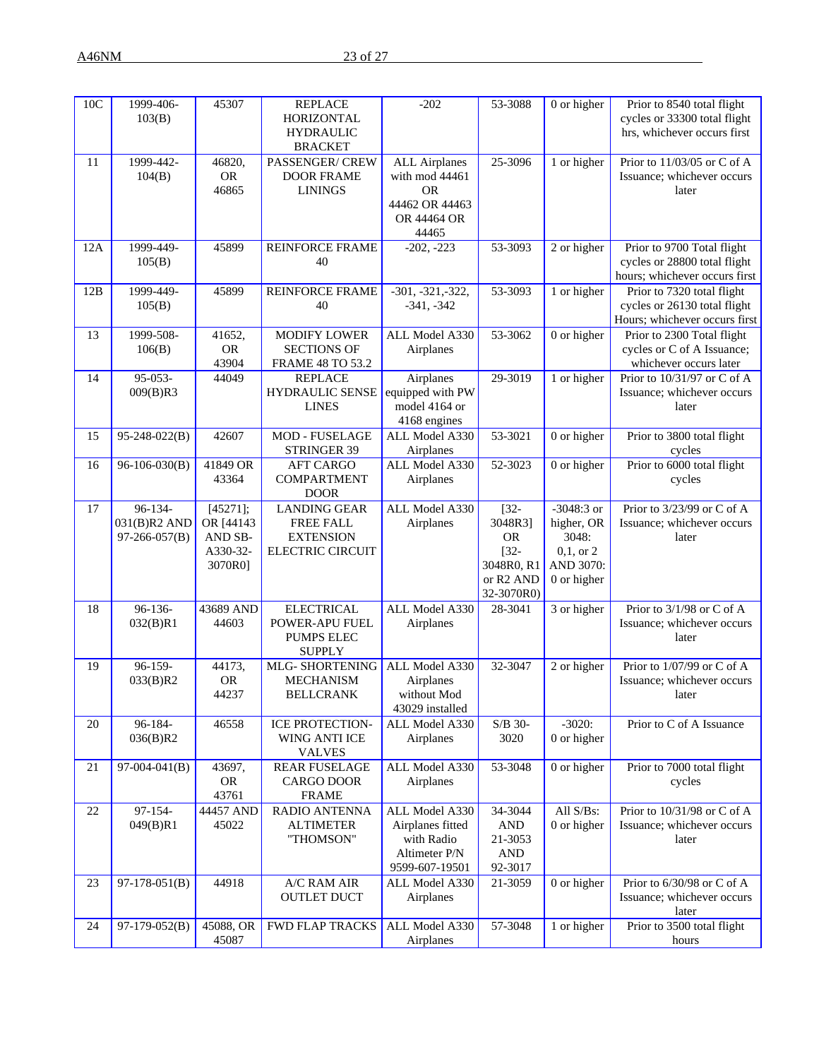| 10C | 1999-406-<br>103(B)                      | 45307                                                   | <b>REPLACE</b><br>HORIZONTAL<br><b>HYDRAULIC</b><br><b>BRACKET</b>              | $-202$                                                                                        | 53-3088                                                                                         | 0 or higher                                                                      | Prior to 8540 total flight<br>cycles or 33300 total flight<br>hrs, whichever occurs first   |
|-----|------------------------------------------|---------------------------------------------------------|---------------------------------------------------------------------------------|-----------------------------------------------------------------------------------------------|-------------------------------------------------------------------------------------------------|----------------------------------------------------------------------------------|---------------------------------------------------------------------------------------------|
| 11  | 1999-442-<br>104(B)                      | 46820,<br><b>OR</b><br>46865                            | PASSENGER/ CREW<br><b>DOOR FRAME</b><br><b>LININGS</b>                          | <b>ALL Airplanes</b><br>with mod 44461<br><b>OR</b><br>44462 OR 44463<br>OR 44464 OR<br>44465 | 25-3096                                                                                         | 1 or higher                                                                      | Prior to 11/03/05 or C of A<br>Issuance; whichever occurs<br>later                          |
| 12A | 1999-449-<br>105(B)                      | 45899                                                   | <b>REINFORCE FRAME</b><br>40                                                    | $-202, -223$                                                                                  | 53-3093                                                                                         | 2 or higher                                                                      | Prior to 9700 Total flight<br>cycles or 28800 total flight<br>hours; whichever occurs first |
| 12B | 1999-449-<br>105(B)                      | 45899                                                   | <b>REINFORCE FRAME</b><br>40                                                    | $-301, -321, -322,$<br>$-341, -342$                                                           | 53-3093                                                                                         | 1 or higher                                                                      | Prior to 7320 total flight<br>cycles or 26130 total flight<br>Hours; whichever occurs first |
| 13  | 1999-508-<br>106(B)                      | 41652,<br><b>OR</b><br>43904                            | <b>MODIFY LOWER</b><br><b>SECTIONS OF</b><br><b>FRAME 48 TO 53.2</b>            | ALL Model A330<br>Airplanes                                                                   | 53-3062                                                                                         | 0 or higher                                                                      | Prior to 2300 Total flight<br>cycles or C of A Issuance;<br>whichever occurs later          |
| 14  | 95-053-<br>009(B)R3                      | 44049                                                   | <b>REPLACE</b><br><b>HYDRAULIC SENSE</b><br><b>LINES</b>                        | Airplanes<br>equipped with PW<br>model 4164 or<br>4168 engines                                | 29-3019                                                                                         | 1 or higher                                                                      | Prior to 10/31/97 or C of A<br>Issuance; whichever occurs<br>later                          |
| 15  | $95 - 248 - 022(B)$                      | 42607                                                   | MOD - FUSELAGE<br>STRINGER 39                                                   | ALL Model A330<br>Airplanes                                                                   | 53-3021                                                                                         | 0 or higher                                                                      | Prior to 3800 total flight<br>cycles                                                        |
| 16  | $96-106-030(B)$                          | 41849 OR<br>43364                                       | <b>AFT CARGO</b><br><b>COMPARTMENT</b><br><b>DOOR</b>                           | ALL Model A330<br>Airplanes                                                                   | 52-3023                                                                                         | 0 or higher                                                                      | Prior to 6000 total flight<br>cycles                                                        |
| 17  | 96-134-<br>031(B)R2 AND<br>97-266-057(B) | [45271];<br>OR [44143<br>AND SB-<br>A330-32-<br>3070R0] | <b>LANDING GEAR</b><br>FREE FALL<br><b>EXTENSION</b><br><b>ELECTRIC CIRCUIT</b> | ALL Model A330<br>Airplanes                                                                   | $[32 -$<br>3048R3]<br><b>OR</b><br>$[32 -$<br>3048R0, R1<br>or R <sub>2</sub> AND<br>32-3070R0) | $-3048:3$ or<br>higher, OR<br>3048:<br>$0,1,$ or $2$<br>AND 3070:<br>0 or higher | Prior to 3/23/99 or C of A<br>Issuance; whichever occurs<br>later                           |
| 18  | 96-136-<br>032(B)R1                      | 43689 AND<br>44603                                      | <b>ELECTRICAL</b><br>POWER-APU FUEL<br><b>PUMPS ELEC</b><br><b>SUPPLY</b>       | ALL Model A330<br>Airplanes                                                                   | 28-3041                                                                                         | 3 or higher                                                                      | Prior to $3/1/98$ or C of A<br>Issuance; whichever occurs<br>later                          |
| 19  | 96-159-<br>033(B)R2                      | 44173,<br><b>OR</b><br>44237                            | MLG- SHORTENING<br><b>MECHANISM</b><br><b>BELLCRANK</b>                         | ALL Model A330<br>Airplanes<br>without Mod<br>43029 installed                                 | 32-3047                                                                                         | 2 or higher                                                                      | Prior to 1/07/99 or C of A<br>Issuance; whichever occurs<br>later                           |
| 20  | 96-184-<br>036(B)R2                      | 46558                                                   | ICE PROTECTION-<br>WING ANTI ICE<br><b>VALVES</b>                               | ALL Model A330<br>Airplanes                                                                   | S/B 30-<br>3020                                                                                 | $-3020:$<br>0 or higher                                                          | Prior to C of A Issuance                                                                    |
| 21  | $97-004-041(B)$                          | 43697,<br><b>OR</b><br>43761                            | REAR FUSELAGE<br>CARGO DOOR<br><b>FRAME</b>                                     | ALL Model A330<br>Airplanes                                                                   | 53-3048                                                                                         | 0 or higher                                                                      | Prior to 7000 total flight<br>cycles                                                        |
| 22  | 97-154-<br>049(B)R1                      | 44457 AND<br>45022                                      | RADIO ANTENNA<br><b>ALTIMETER</b><br>"THOMSON"                                  | ALL Model A330<br>Airplanes fitted<br>with Radio<br>Altimeter P/N<br>9599-607-19501           | 34-3044<br>AND<br>21-3053<br>AND<br>92-3017                                                     | All S/Bs:<br>0 or higher                                                         | Prior to 10/31/98 or C of A<br>Issuance; whichever occurs<br>later                          |
| 23  | $97-178-051(B)$                          | 44918                                                   | A/C RAM AIR<br><b>OUTLET DUCT</b>                                               | ALL Model A330<br>Airplanes                                                                   | 21-3059                                                                                         | 0 or higher                                                                      | Prior to 6/30/98 or C of A<br>Issuance; whichever occurs<br>later                           |
| 24  | 97-179-052(B)                            | 45088, OR<br>45087                                      | <b>FWD FLAP TRACKS</b>                                                          | ALL Model A330<br>Airplanes                                                                   | 57-3048                                                                                         | 1 or higher                                                                      | Prior to 3500 total flight<br>hours                                                         |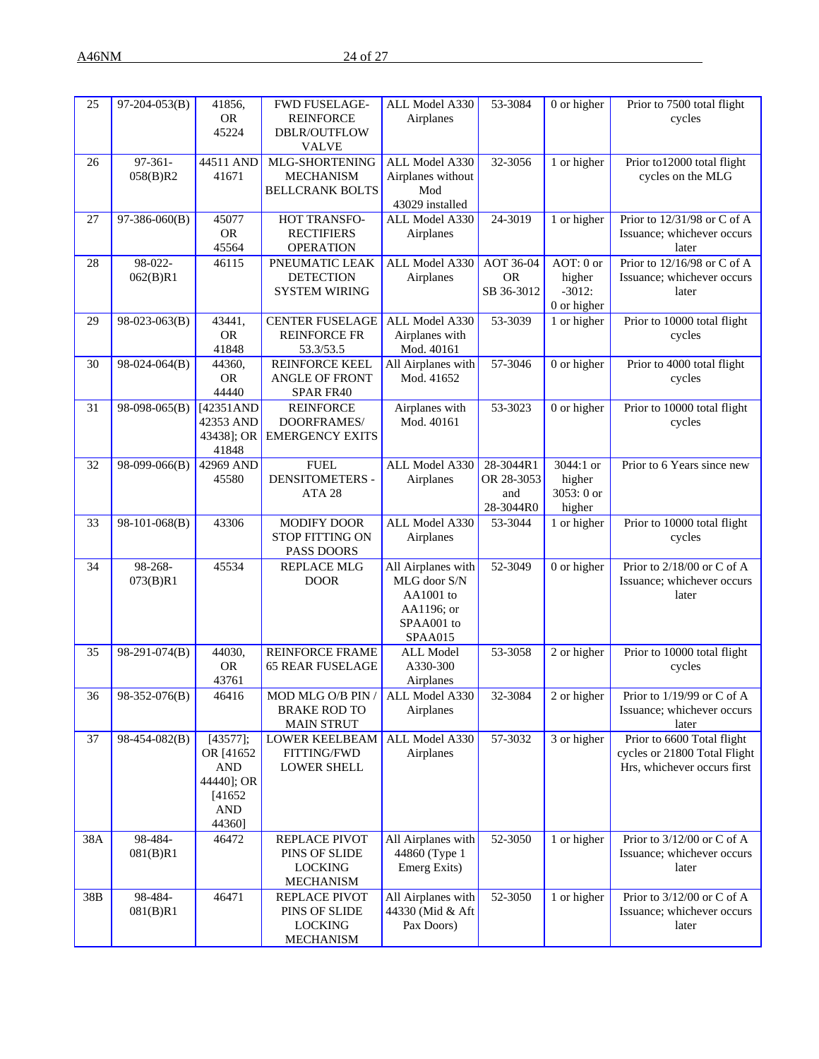A46NM 24 of 27

| 25  | $97-204-053(B)$     | 41856,<br><b>OR</b><br>45224                                                         | <b>FWD FUSELAGE-</b><br><b>REINFORCE</b><br>DBLR/OUTFLOW<br><b>VALVE</b> | ALL Model A330<br>Airplanes                                                            | 53-3084                                     | 0 or higher                                      | Prior to 7500 total flight<br>cycles                                                      |
|-----|---------------------|--------------------------------------------------------------------------------------|--------------------------------------------------------------------------|----------------------------------------------------------------------------------------|---------------------------------------------|--------------------------------------------------|-------------------------------------------------------------------------------------------|
| 26  | 97-361-<br>058(B)R2 | 44511 AND<br>41671                                                                   | MLG-SHORTENING<br><b>MECHANISM</b><br><b>BELLCRANK BOLTS</b>             | ALL Model A330<br>Airplanes without<br>Mod<br>43029 installed                          | 32-3056                                     | 1 or higher                                      | Prior to12000 total flight<br>cycles on the MLG                                           |
| 27  | 97-386-060(B)       | 45077<br><b>OR</b><br>45564                                                          | HOT TRANSFO-<br><b>RECTIFIERS</b><br><b>OPERATION</b>                    | ALL Model A330<br>Airplanes                                                            | 24-3019                                     | 1 or higher                                      | Prior to 12/31/98 or C of A<br>Issuance; whichever occurs<br>later                        |
| 28  | 98-022-<br>062(B)R1 | 46115                                                                                | PNEUMATIC LEAK<br><b>DETECTION</b><br><b>SYSTEM WIRING</b>               | ALL Model A330<br>Airplanes                                                            | AOT 36-04<br><b>OR</b><br>SB 36-3012        | AOT: 0 or<br>higher<br>$-3012:$<br>$0$ or higher | Prior to 12/16/98 or C of A<br>Issuance; whichever occurs<br>later                        |
| 29  | 98-023-063(B)       | 43441,<br><b>OR</b><br>41848                                                         | <b>CENTER FUSELAGE</b><br><b>REINFORCE FR</b><br>53.3/53.5               | ALL Model A330<br>Airplanes with<br>Mod. 40161                                         | 53-3039                                     | 1 or higher                                      | Prior to 10000 total flight<br>cycles                                                     |
| 30  | 98-024-064(B)       | 44360,<br><b>OR</b><br>44440                                                         | <b>REINFORCE KEEL</b><br>ANGLE OF FRONT<br>SPAR FR40                     | All Airplanes with<br>Mod. 41652                                                       | 57-3046                                     | 0 or higher                                      | Prior to 4000 total flight<br>cycles                                                      |
| 31  | 98-098-065(B)       | [42351AND<br>42353 AND<br>43438]; OR<br>41848                                        | <b>REINFORCE</b><br>DOORFRAMES/<br><b>EMERGENCY EXITS</b>                | Airplanes with<br>Mod. 40161                                                           | 53-3023                                     | 0 or higher                                      | Prior to 10000 total flight<br>cycles                                                     |
| 32  | 98-099-066(B)       | 42969 AND<br>45580                                                                   | <b>FUEL</b><br><b>DENSITOMETERS -</b><br>ATA 28                          | ALL Model A330<br>Airplanes                                                            | 28-3044R1<br>OR 28-3053<br>and<br>28-3044R0 | 3044:1 or<br>higher<br>3053: 0 or<br>higher      | Prior to 6 Years since new                                                                |
| 33  | 98-101-068(B)       | 43306                                                                                | MODIFY DOOR<br><b>STOP FITTING ON</b><br>PASS DOORS                      | ALL Model A330<br>Airplanes                                                            | 53-3044                                     | 1 or higher                                      | Prior to 10000 total flight<br>cycles                                                     |
| 34  | 98-268-<br>073(B)R1 | 45534                                                                                | <b>REPLACE MLG</b><br><b>DOOR</b>                                        | All Airplanes with<br>MLG door S/N<br>AA1001 to<br>AA1196; or<br>SPAA001 to<br>SPAA015 | 52-3049                                     | 0 or higher                                      | Prior to 2/18/00 or C of A<br>Issuance; whichever occurs<br>later                         |
| 35  | 98-291-074(B)       | 44030,<br><b>OR</b><br>43761                                                         | <b>REINFORCE FRAME</b><br><b>65 REAR FUSELAGE</b>                        | <b>ALL Model</b><br>A330-300<br>Airplanes                                              | 53-3058                                     | 2 or higher                                      | Prior to 10000 total flight<br>cycles                                                     |
| 36  | $98-352-076(B)$     | 46416                                                                                | MOD MLG O/B PIN /<br><b>BRAKE ROD TO</b><br><b>MAIN STRUT</b>            | ALL Model A330<br>Airplanes                                                            | 32-3084                                     | 2 or higher                                      | Prior to 1/19/99 or C of A<br>Issuance; whichever occurs<br>later                         |
| 37  | 98-454-082(B)       | [43577];<br>OR [41652<br><b>AND</b><br>44440]; OR<br>[41652]<br><b>AND</b><br>44360] | <b>LOWER KEELBEAM</b><br>FITTING/FWD<br><b>LOWER SHELL</b>               | ALL Model A330<br>Airplanes                                                            | 57-3032                                     | 3 or higher                                      | Prior to 6600 Total flight<br>cycles or 21800 Total Flight<br>Hrs, whichever occurs first |
| 38A | 98-484-<br>081(B)R1 | 46472                                                                                | REPLACE PIVOT<br>PINS OF SLIDE<br><b>LOCKING</b><br><b>MECHANISM</b>     | All Airplanes with<br>44860 (Type 1<br>Emerg Exits)                                    | 52-3050                                     | 1 or higher                                      | Prior to 3/12/00 or C of A<br>Issuance; whichever occurs<br>later                         |
| 38B | 98-484-<br>081(B)R1 | 46471                                                                                | REPLACE PIVOT<br>PINS OF SLIDE<br><b>LOCKING</b><br><b>MECHANISM</b>     | All Airplanes with<br>44330 (Mid & Aft<br>Pax Doors)                                   | 52-3050                                     | 1 or higher                                      | Prior to 3/12/00 or C of A<br>Issuance; whichever occurs<br>later                         |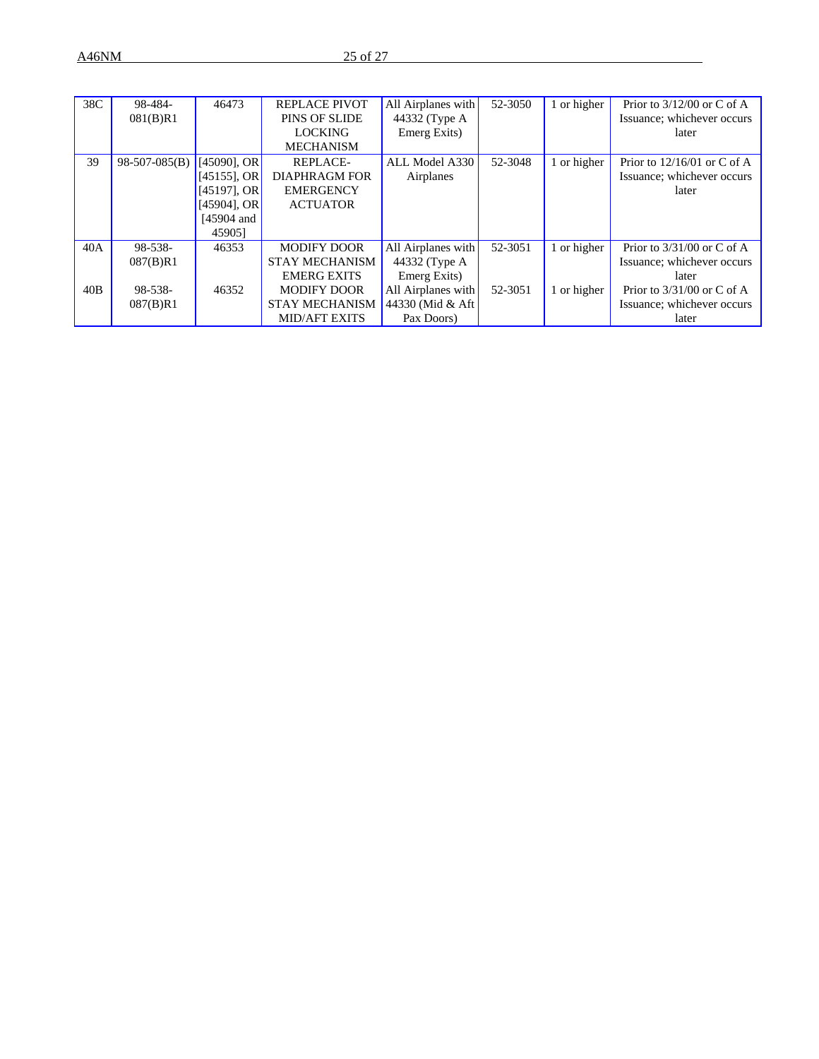| 38C | 98-484-         | 46473          | <b>REPLACE PIVOT</b>  | All Airplanes with | 52-3050 | 1 or higher | Prior to $3/12/00$ or C of A  |
|-----|-----------------|----------------|-----------------------|--------------------|---------|-------------|-------------------------------|
|     | 081(B)R1        |                | <b>PINS OF SLIDE</b>  | 44332 (Type A)     |         |             | Issuance; whichever occurs    |
|     |                 |                | <b>LOCKING</b>        | Emerg Exits)       |         |             | later                         |
|     |                 |                | <b>MECHANISM</b>      |                    |         |             |                               |
| 39  | $98-507-085(B)$ | $[45090]$ , OR | REPLACE-              | ALL Model A330     | 52-3048 | 1 or higher | Prior to $12/16/01$ or C of A |
|     |                 | $[45155]$ , OR | <b>DIAPHRAGM FOR</b>  | Airplanes          |         |             | Issuance; whichever occurs    |
|     |                 | $[45197]$ , OR | <b>EMERGENCY</b>      |                    |         |             | later                         |
|     |                 | $[45904]$ , OR | <b>ACTUATOR</b>       |                    |         |             |                               |
|     |                 | $[45904$ and   |                       |                    |         |             |                               |
|     |                 | 459051         |                       |                    |         |             |                               |
| 40A | 98-538-         | 46353          | <b>MODIFY DOOR</b>    | All Airplanes with | 52-3051 | 1 or higher | Prior to $3/31/00$ or C of A  |
|     | 087(B)R1        |                | <b>STAY MECHANISM</b> | 44332 (Type A)     |         |             | Issuance; whichever occurs    |
|     |                 |                | <b>EMERG EXITS</b>    | Emerg Exits)       |         |             | later                         |
| 40B | 98-538-         | 46352          | <b>MODIFY DOOR</b>    | All Airplanes with | 52-3051 | 1 or higher | Prior to $3/31/00$ or C of A  |
|     | 087(B)R1        |                | <b>STAY MECHANISM</b> | 44330 (Mid & Aft)  |         |             | Issuance; whichever occurs    |
|     |                 |                | <b>MID/AFT EXITS</b>  | Pax Doors)         |         |             | later                         |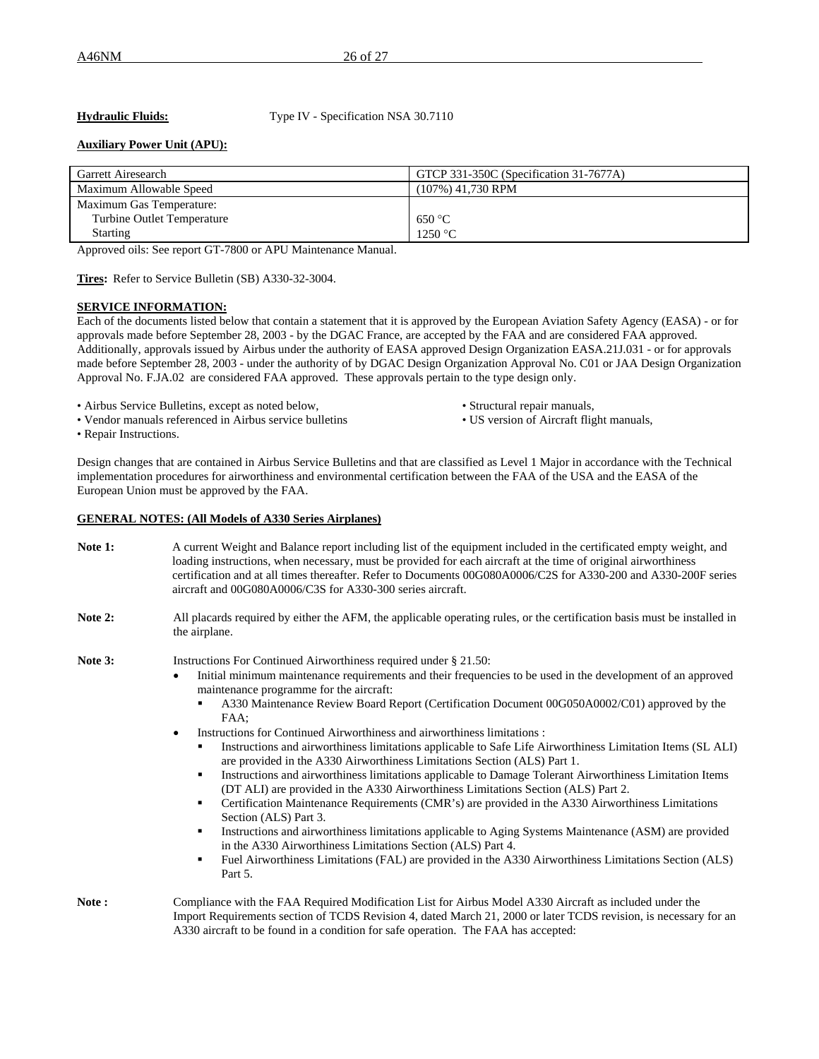**Hydraulic Fluids:** Type IV - Specification NSA 30.7110

# **Auxiliary Power Unit (APU):**

| Garrett Airesearch         | GTCP 331-350C (Specification 31-7677A) |
|----------------------------|----------------------------------------|
| Maximum Allowable Speed    | $(107\%)$ 41,730 RPM                   |
| Maximum Gas Temperature:   |                                        |
| Turbine Outlet Temperature | 650 °C                                 |
| <b>Starting</b>            | 1250 °C                                |

Approved oils: See report GT-7800 or APU Maintenance Manual.

**Tires:** Refer to Service Bulletin (SB) A330-32-3004.

#### **SERVICE INFORMATION:**

Each of the documents listed below that contain a statement that it is approved by the European Aviation Safety Agency (EASA) - or for approvals made before September 28, 2003 - by the DGAC France, are accepted by the FAA and are considered FAA approved. Additionally, approvals issued by Airbus under the authority of EASA approved Design Organization EASA.21J.031 - or for approvals made before September 28, 2003 - under the authority of by DGAC Design Organization Approval No. C01 or JAA Design Organization Approval No. F.JA.02 are considered FAA approved. These approvals pertain to the type design only.

- 
- Airbus Service Bulletins, except as noted below,<br>• Vendor manuals referenced in Airbus service bulletins<br>• US version of Aircraft flight manuals, • Vendor manuals referenced in Airbus service bulletins
- -

• Repair Instructions.

Design changes that are contained in Airbus Service Bulletins and that are classified as Level 1 Major in accordance with the Technical implementation procedures for airworthiness and environmental certification between the FAA of the USA and the EASA of the European Union must be approved by the FAA.

#### **GENERAL NOTES: (All Models of A330 Series Airplanes)**

| Note 1: | A current Weight and Balance report including list of the equipment included in the certificated empty weight, and<br>loading instructions, when necessary, must be provided for each aircraft at the time of original airworthiness<br>certification and at all times thereafter. Refer to Documents 00G080A0006/C2S for A330-200 and A330-200F series<br>aircraft and 00G080A0006/C3S for A330-300 series aircraft.                                                                                                                                                                                                                                                                                                                                                                                                                                                                                                                                                                                                                                                                                                                                                                                                                                                                       |
|---------|---------------------------------------------------------------------------------------------------------------------------------------------------------------------------------------------------------------------------------------------------------------------------------------------------------------------------------------------------------------------------------------------------------------------------------------------------------------------------------------------------------------------------------------------------------------------------------------------------------------------------------------------------------------------------------------------------------------------------------------------------------------------------------------------------------------------------------------------------------------------------------------------------------------------------------------------------------------------------------------------------------------------------------------------------------------------------------------------------------------------------------------------------------------------------------------------------------------------------------------------------------------------------------------------|
| Note 2: | All placards required by either the AFM, the applicable operating rules, or the certification basis must be installed in<br>the airplane.                                                                                                                                                                                                                                                                                                                                                                                                                                                                                                                                                                                                                                                                                                                                                                                                                                                                                                                                                                                                                                                                                                                                                   |
| Note 3: | Instructions For Continued Airworthiness required under § 21.50:<br>Initial minimum maintenance requirements and their frequencies to be used in the development of an approved<br>$\bullet$<br>maintenance programme for the aircraft:<br>A330 Maintenance Review Board Report (Certification Document 00G050A0002/C01) approved by the<br>٠<br>FAA:<br>Instructions for Continued Airworthiness and airworthiness limitations :<br>$\bullet$<br>Instructions and airworthiness limitations applicable to Safe Life Airworthiness Limitation Items (SL ALI)<br>٠<br>are provided in the A330 Airworthiness Limitations Section (ALS) Part 1.<br>Instructions and airworthiness limitations applicable to Damage Tolerant Airworthiness Limitation Items<br>٠<br>(DT ALI) are provided in the A330 Airworthiness Limitations Section (ALS) Part 2.<br>Certification Maintenance Requirements (CMR's) are provided in the A330 Airworthiness Limitations<br>٠<br>Section (ALS) Part 3.<br>Instructions and airworthiness limitations applicable to Aging Systems Maintenance (ASM) are provided<br>٠<br>in the A330 Airworthiness Limitations Section (ALS) Part 4.<br>Fuel Airworthiness Limitations (FAL) are provided in the A330 Airworthiness Limitations Section (ALS)<br>٠<br>Part 5. |
| Note:   | Compliance with the FAA Required Modification List for Airbus Model A330 Aircraft as included under the<br>Import Requirements section of TCDS Revision 4, dated March 21, 2000 or later TCDS revision, is necessary for an<br>A330 aircraft to be found in a condition for safe operation. The FAA has accepted:                                                                                                                                                                                                                                                                                                                                                                                                                                                                                                                                                                                                                                                                                                                                                                                                                                                                                                                                                                           |